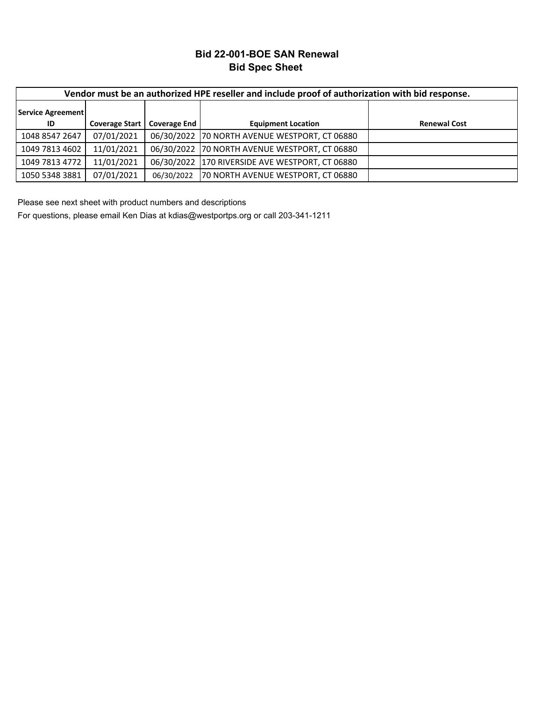# **Bid 22-001-BOE SAN Renewal Bid Spec Sheet**

|                   | Vendor must be an authorized HPE reseller and include proof of authorization with bid response. |                     |                                                 |                     |  |  |  |  |  |  |  |
|-------------------|-------------------------------------------------------------------------------------------------|---------------------|-------------------------------------------------|---------------------|--|--|--|--|--|--|--|
| Service Agreement |                                                                                                 |                     |                                                 |                     |  |  |  |  |  |  |  |
| ID                | <b>Coverage Start</b>                                                                           | <b>Coverage End</b> | <b>Equipment Location</b>                       | <b>Renewal Cost</b> |  |  |  |  |  |  |  |
| 1048 8547 2647    | 07/01/2021                                                                                      |                     | 06/30/2022 70 NORTH AVENUE WESTPORT, CT 06880   |                     |  |  |  |  |  |  |  |
| 1049 7813 4602    | 11/01/2021                                                                                      |                     | 06/30/2022 70 NORTH AVENUE WESTPORT, CT 06880   |                     |  |  |  |  |  |  |  |
| 1049 7813 4772    | 11/01/2021                                                                                      |                     | 06/30/2022 170 RIVERSIDE AVE WESTPORT, CT 06880 |                     |  |  |  |  |  |  |  |
| 1050 5348 3881    | 07/01/2021                                                                                      | 06/30/2022          | 70 NORTH AVENUE WESTPORT, CT 06880              |                     |  |  |  |  |  |  |  |

Please see next sheet with product numbers and descriptions

For questions, please email Ken Dias at kdias@westportps.org or call 203-341-1211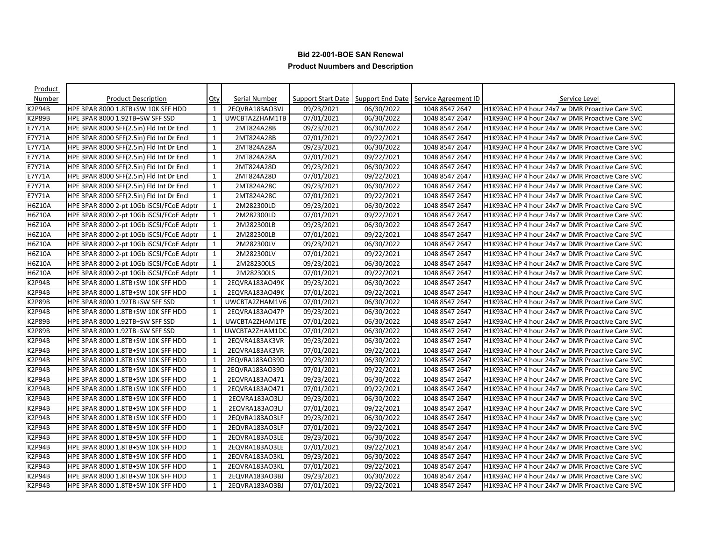| Product          |                                          |              |                |            |            |                                                              |                                                 |
|------------------|------------------------------------------|--------------|----------------|------------|------------|--------------------------------------------------------------|-------------------------------------------------|
| Number           | <b>Product Description</b>               | $Q$ ty       | Serial Number  |            |            | Support Start Date   Support End Date   Service Agreement ID | Service Level                                   |
| <b>&lt;2P94B</b> | HPE 3PAR 8000 1.8TB+SW 10K SFF HDD       | $\mathbf{1}$ | 2EQVRA183AO3VJ | 09/23/2021 | 06/30/2022 | 1048 8547 2647                                               | H1K93AC HP 4 hour 24x7 w DMR Proactive Care SVC |
| K2P89B           | HPE 3PAR 8000 1.92TB+SW SFF SSD          | 1            | UWCBTA2ZHAM1TB | 07/01/2021 | 06/30/2022 | 1048 8547 2647                                               | H1K93AC HP 4 hour 24x7 w DMR Proactive Care SVC |
| E7Y71A           | HPE 3PAR 8000 SFF(2.5in) Fld Int Dr Encl | $\mathbf{1}$ | 2MT824A28B     | 09/23/2021 | 06/30/2022 | 1048 8547 2647                                               | H1K93AC HP 4 hour 24x7 w DMR Proactive Care SVC |
| E7Y71A           | HPE 3PAR 8000 SFF(2.5in) Fld Int Dr Encl | 1            | 2MT824A28B     | 07/01/2021 | 09/22/2021 | 1048 8547 2647                                               | H1K93AC HP 4 hour 24x7 w DMR Proactive Care SVC |
| E7Y71A           | HPE 3PAR 8000 SFF(2.5in) Fld Int Dr Encl | 1            | 2MT824A28A     | 09/23/2021 | 06/30/2022 | 1048 8547 2647                                               | H1K93AC HP 4 hour 24x7 w DMR Proactive Care SVC |
| E7Y71A           | HPE 3PAR 8000 SFF(2.5in) Fld Int Dr Encl | $\mathbf{1}$ | 2MT824A28A     | 07/01/2021 | 09/22/2021 | 1048 8547 2647                                               | H1K93AC HP 4 hour 24x7 w DMR Proactive Care SVC |
| E7Y71A           | HPE 3PAR 8000 SFF(2.5in) Fld Int Dr Encl | 1            | 2MT824A28D     | 09/23/2021 | 06/30/2022 | 1048 8547 2647                                               | H1K93AC HP 4 hour 24x7 w DMR Proactive Care SVC |
| E7Y71A           | HPE 3PAR 8000 SFF(2.5in) Fld Int Dr Encl | 1            | 2MT824A28D     | 07/01/2021 | 09/22/2021 | 1048 8547 2647                                               | H1K93AC HP 4 hour 24x7 w DMR Proactive Care SVC |
| E7Y71A           | HPE 3PAR 8000 SFF(2.5in) Fld Int Dr Encl | 1            | 2MT824A28C     | 09/23/2021 | 06/30/2022 | 1048 8547 2647                                               | H1K93AC HP 4 hour 24x7 w DMR Proactive Care SVC |
| E7Y71A           | HPE 3PAR 8000 SFF(2.5in) Fld Int Dr Encl | $\mathbf{1}$ | 2MT824A28C     | 07/01/2021 | 09/22/2021 | 1048 8547 2647                                               | H1K93AC HP 4 hour 24x7 w DMR Proactive Care SVC |
| <b>H6Z10A</b>    | HPE 3PAR 8000 2-pt 10Gb iSCSI/FCoE Adptr | 1            | 2M282300LD     | 09/23/2021 | 06/30/2022 | 1048 8547 2647                                               | H1K93AC HP 4 hour 24x7 w DMR Proactive Care SVC |
| <b>H6Z10A</b>    | HPE 3PAR 8000 2-pt 10Gb iSCSI/FCoE Adptr | 1            | 2M282300LD     | 07/01/2021 | 09/22/2021 | 1048 8547 2647                                               | H1K93AC HP 4 hour 24x7 w DMR Proactive Care SVC |
| <b>H6Z10A</b>    | HPE 3PAR 8000 2-pt 10Gb iSCSI/FCoE Adptr | 1            | 2M282300LB     | 09/23/2021 | 06/30/2022 | 1048 8547 2647                                               | H1K93AC HP 4 hour 24x7 w DMR Proactive Care SVC |
| H6Z10A           | HPE 3PAR 8000 2-pt 10Gb iSCSI/FCoE Adptr | 1            | 2M282300LB     | 07/01/2021 | 09/22/2021 | 1048 8547 2647                                               | H1K93AC HP 4 hour 24x7 w DMR Proactive Care SVC |
| <b>H6Z10A</b>    | HPE 3PAR 8000 2-pt 10Gb iSCSI/FCoE Adptr | 1            | 2M282300LV     | 09/23/2021 | 06/30/2022 | 1048 8547 2647                                               | H1K93AC HP 4 hour 24x7 w DMR Proactive Care SVC |
| <b>H6Z10A</b>    | HPE 3PAR 8000 2-pt 10Gb iSCSI/FCoE Adptr | 1            | 2M282300LV     | 07/01/2021 | 09/22/2021 | 1048 8547 2647                                               | H1K93AC HP 4 hour 24x7 w DMR Proactive Care SVC |
| H6Z10A           | HPE 3PAR 8000 2-pt 10Gb iSCSI/FCoE Adptr | 1            | 2M282300LS     | 09/23/2021 | 06/30/2022 | 1048 8547 2647                                               | H1K93AC HP 4 hour 24x7 w DMR Proactive Care SVC |
| <b>H6Z10A</b>    | HPE 3PAR 8000 2-pt 10Gb iSCSI/FCoE Adptr | 1            | 2M282300LS     | 07/01/2021 | 09/22/2021 | 1048 8547 2647                                               | H1K93AC HP 4 hour 24x7 w DMR Proactive Care SVC |
| K2P94B           | HPE 3PAR 8000 1.8TB+SW 10K SFF HDD       | 1            | 2EQVRA183AO49K | 09/23/2021 | 06/30/2022 | 1048 8547 2647                                               | H1K93AC HP 4 hour 24x7 w DMR Proactive Care SVC |
| K2P94B           | HPE 3PAR 8000 1.8TB+SW 10K SFF HDD       | 1            | 2EQVRA183AO49K | 07/01/2021 | 09/22/2021 | 1048 8547 2647                                               | H1K93AC HP 4 hour 24x7 w DMR Proactive Care SVC |
| K2P89B           | HPE 3PAR 8000 1.92TB+SW SFF SSD          | 1            | UWCBTA2ZHAM1V6 | 07/01/2021 | 06/30/2022 | 1048 8547 2647                                               | H1K93AC HP 4 hour 24x7 w DMR Proactive Care SVC |
| K2P94B           | HPE 3PAR 8000 1.8TB+SW 10K SFF HDD       | $\mathbf{1}$ | 2EQVRA183AO47P | 09/23/2021 | 06/30/2022 | 1048 8547 2647                                               | H1K93AC HP 4 hour 24x7 w DMR Proactive Care SVC |
| K2P89B           | HPE 3PAR 8000 1.92TB+SW SFF SSD          | 1            | UWCBTA2ZHAM1TE | 07/01/2021 | 06/30/2022 | 1048 8547 2647                                               | H1K93AC HP 4 hour 24x7 w DMR Proactive Care SVC |
| K2P89B           | HPE 3PAR 8000 1.92TB+SW SFF SSD          | 1            | UWCBTA2ZHAM1DC | 07/01/2021 | 06/30/2022 | 1048 8547 2647                                               | H1K93AC HP 4 hour 24x7 w DMR Proactive Care SVC |
| K2P94B           | HPE 3PAR 8000 1.8TB+SW 10K SFF HDD       | 1            | 2EQVRA183AK3VR | 09/23/2021 | 06/30/2022 | 1048 8547 2647                                               | H1K93AC HP 4 hour 24x7 w DMR Proactive Care SVC |
| K2P94B           | HPE 3PAR 8000 1.8TB+SW 10K SFF HDD       | 1            | 2EQVRA183AK3VR | 07/01/2021 | 09/22/2021 | 1048 8547 2647                                               | H1K93AC HP 4 hour 24x7 w DMR Proactive Care SVC |
| K2P94B           | HPE 3PAR 8000 1.8TB+SW 10K SFF HDD       | 1            | 2EQVRA183AO39D | 09/23/2021 | 06/30/2022 | 1048 8547 2647                                               | H1K93AC HP 4 hour 24x7 w DMR Proactive Care SVC |
| K2P94B           | HPE 3PAR 8000 1.8TB+SW 10K SFF HDD       | $\mathbf{1}$ | 2EQVRA183AO39D | 07/01/2021 | 09/22/2021 | 1048 8547 2647                                               | H1K93AC HP 4 hour 24x7 w DMR Proactive Care SVC |
| K2P94B           | HPE 3PAR 8000 1.8TB+SW 10K SFF HDD       | 1            | 2EQVRA183AO471 | 09/23/2021 | 06/30/2022 | 1048 8547 2647                                               | H1K93AC HP 4 hour 24x7 w DMR Proactive Care SVC |
| K2P94B           | HPE 3PAR 8000 1.8TB+SW 10K SFF HDD       | 1            | 2EQVRA183AO471 | 07/01/2021 | 09/22/2021 | 1048 8547 2647                                               | H1K93AC HP 4 hour 24x7 w DMR Proactive Care SVC |
| K2P94B           | HPE 3PAR 8000 1.8TB+SW 10K SFF HDD       | $\mathbf{1}$ | 2EQVRA183AO3LJ | 09/23/2021 | 06/30/2022 | 1048 8547 2647                                               | H1K93AC HP 4 hour 24x7 w DMR Proactive Care SVC |
| K2P94B           | HPE 3PAR 8000 1.8TB+SW 10K SFF HDD       | 1            | 2EQVRA183AO3LJ | 07/01/2021 | 09/22/2021 | 1048 8547 2647                                               | H1K93AC HP 4 hour 24x7 w DMR Proactive Care SVC |
| K2P94B           | HPE 3PAR 8000 1.8TB+SW 10K SFF HDD       | $\mathbf{1}$ | 2EQVRA183AO3LF | 09/23/2021 | 06/30/2022 | 1048 8547 2647                                               | H1K93AC HP 4 hour 24x7 w DMR Proactive Care SVC |
| K2P94B           | HPE 3PAR 8000 1.8TB+SW 10K SFF HDD       | 1            | 2EQVRA183AO3LF | 07/01/2021 | 09/22/2021 | 1048 8547 2647                                               | H1K93AC HP 4 hour 24x7 w DMR Proactive Care SVC |
| <b>&lt;2P94B</b> | HPE 3PAR 8000 1.8TB+SW 10K SFF HDD       | 1            | 2EQVRA183AO3LE | 09/23/2021 | 06/30/2022 | 1048 8547 2647                                               | H1K93AC HP 4 hour 24x7 w DMR Proactive Care SVC |
| K2P94B           | HPE 3PAR 8000 1.8TB+SW 10K SFF HDD       | 1            | 2EQVRA183AO3LE | 07/01/2021 | 09/22/2021 | 1048 8547 2647                                               | H1K93AC HP 4 hour 24x7 w DMR Proactive Care SVC |
| K2P94B           | HPE 3PAR 8000 1.8TB+SW 10K SFF HDD       | $\mathbf{1}$ | 2EQVRA183AO3KL | 09/23/2021 | 06/30/2022 | 1048 8547 2647                                               | H1K93AC HP 4 hour 24x7 w DMR Proactive Care SVC |
| K2P94B           | HPE 3PAR 8000 1.8TB+SW 10K SFF HDD       | 1            | 2EQVRA183AO3KL | 07/01/2021 | 09/22/2021 | 1048 8547 2647                                               | H1K93AC HP 4 hour 24x7 w DMR Proactive Care SVC |
| K2P94B           | HPE 3PAR 8000 1.8TB+SW 10K SFF HDD       | 1            | 2EQVRA183AO3BJ | 09/23/2021 | 06/30/2022 | 1048 8547 2647                                               | H1K93AC HP 4 hour 24x7 w DMR Proactive Care SVC |
| K2P94B           | HPE 3PAR 8000 1.8TB+SW 10K SFF HDD       | $\mathbf{1}$ | 2EQVRA183AO3BJ | 07/01/2021 | 09/22/2021 | 1048 8547 2647                                               | H1K93AC HP 4 hour 24x7 w DMR Proactive Care SVC |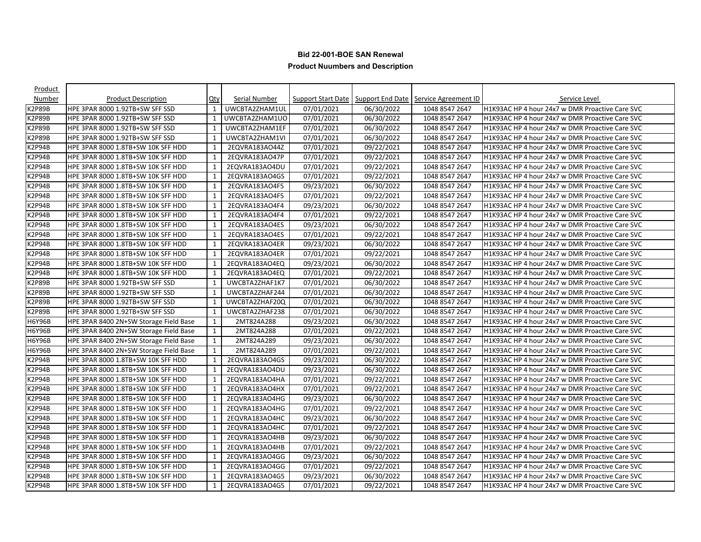| Product          |                                        |              |                |            |            |                                                              |                                                 |
|------------------|----------------------------------------|--------------|----------------|------------|------------|--------------------------------------------------------------|-------------------------------------------------|
| Number           | <b>Product Description</b>             | Qty          | Serial Number  |            |            | Support Start Date   Support End Date   Service Agreement ID | Service Level                                   |
| <b>&lt;2P89B</b> | HPE 3PAR 8000 1.92TB+SW SFF SSD        | $\mathbf{1}$ | UWCBTA2ZHAM1UL | 07/01/2021 | 06/30/2022 | 1048 8547 2647                                               | H1K93AC HP 4 hour 24x7 w DMR Proactive Care SVC |
| K2P89B           | HPE 3PAR 8000 1.92TB+SW SFF SSD        | 1            | UWCBTA2ZHAM1UO | 07/01/2021 | 06/30/2022 | 1048 8547 2647                                               | H1K93AC HP 4 hour 24x7 w DMR Proactive Care SVC |
| K2P89B           | HPE 3PAR 8000 1.92TB+SW SFF SSD        | $\mathbf{1}$ | UWCBTA2ZHAM1EF | 07/01/2021 | 06/30/2022 | 1048 8547 2647                                               | H1K93AC HP 4 hour 24x7 w DMR Proactive Care SVC |
| <b>K2P89B</b>    | HPE 3PAR 8000 1.92TB+SW SFF SSD        | 1            | UWCBTA2ZHAM1VI | 07/01/2021 | 06/30/2022 | 1048 8547 2647                                               | H1K93AC HP 4 hour 24x7 w DMR Proactive Care SVC |
| K2P94B           | HPE 3PAR 8000 1.8TB+SW 10K SFF HDD     | 1            | 2EQVRA183AO44Z | 07/01/2021 | 09/22/2021 | 1048 8547 2647                                               | H1K93AC HP 4 hour 24x7 w DMR Proactive Care SVC |
| K2P94B           | HPE 3PAR 8000 1.8TB+SW 10K SFF HDD     | $\mathbf{1}$ | 2EQVRA183AO47P | 07/01/2021 | 09/22/2021 | 1048 8547 2647                                               | H1K93AC HP 4 hour 24x7 w DMR Proactive Care SVC |
| K2P94B           | HPE 3PAR 8000 1.8TB+SW 10K SFF HDD     | 1            | 2EQVRA183AO4DU | 07/01/2021 | 09/22/2021 | 1048 8547 2647                                               | H1K93AC HP 4 hour 24x7 w DMR Proactive Care SVC |
| K2P94B           | HPE 3PAR 8000 1.8TB+SW 10K SFF HDD     | 1            | 2EQVRA183AO4GS | 07/01/2021 | 09/22/2021 | 1048 8547 2647                                               | H1K93AC HP 4 hour 24x7 w DMR Proactive Care SVC |
| K2P94B           | HPE 3PAR 8000 1.8TB+SW 10K SFF HDD     | 1            | 2EQVRA183AO4F5 | 09/23/2021 | 06/30/2022 | 1048 8547 2647                                               | H1K93AC HP 4 hour 24x7 w DMR Proactive Care SVC |
| K2P94B           | HPE 3PAR 8000 1.8TB+SW 10K SFF HDD     | $\mathbf{1}$ | 2EQVRA183AO4F5 | 07/01/2021 | 09/22/2021 | 1048 8547 2647                                               | H1K93AC HP 4 hour 24x7 w DMR Proactive Care SVC |
| K2P94B           | HPE 3PAR 8000 1.8TB+SW 10K SFF HDD     | 1            | 2EQVRA183AO4F4 | 09/23/2021 | 06/30/2022 | 1048 8547 2647                                               | H1K93AC HP 4 hour 24x7 w DMR Proactive Care SVC |
| K2P94B           | HPE 3PAR 8000 1.8TB+SW 10K SFF HDD     | $\mathbf{1}$ | 2EQVRA183AO4F4 | 07/01/2021 | 09/22/2021 | 1048 8547 2647                                               | H1K93AC HP 4 hour 24x7 w DMR Proactive Care SVC |
| <b>K2P94B</b>    | HPE 3PAR 8000 1.8TB+SW 10K SFF HDD     | 1            | 2EQVRA183AO4ES | 09/23/2021 | 06/30/2022 | 1048 8547 2647                                               | H1K93AC HP 4 hour 24x7 w DMR Proactive Care SVC |
| K2P94B           | HPE 3PAR 8000 1.8TB+SW 10K SFF HDD     | 1            | 2EQVRA183AO4ES | 07/01/2021 | 09/22/2021 | 1048 8547 2647                                               | H1K93AC HP 4 hour 24x7 w DMR Proactive Care SVC |
| K2P94B           | HPE 3PAR 8000 1.8TB+SW 10K SFF HDD     | $\mathbf{1}$ | 2EQVRA183AO4ER | 09/23/2021 | 06/30/2022 | 1048 8547 2647                                               | H1K93AC HP 4 hour 24x7 w DMR Proactive Care SVC |
| K2P94B           | HPE 3PAR 8000 1.8TB+SW 10K SFF HDD     | 1            | 2EQVRA183AO4ER | 07/01/2021 | 09/22/2021 | 1048 8547 2647                                               | H1K93AC HP 4 hour 24x7 w DMR Proactive Care SVC |
| K2P94B           | HPE 3PAR 8000 1.8TB+SW 10K SFF HDD     | 1            | 2EQVRA183AO4EQ | 09/23/2021 | 06/30/2022 | 1048 8547 2647                                               | H1K93AC HP 4 hour 24x7 w DMR Proactive Care SVC |
| K2P94B           | HPE 3PAR 8000 1.8TB+SW 10K SFF HDD     | 1            | 2EQVRA183AO4EQ | 07/01/2021 | 09/22/2021 | 1048 8547 2647                                               | H1K93AC HP 4 hour 24x7 w DMR Proactive Care SVC |
| K2P89B           | HPE 3PAR 8000 1.92TB+SW SFF SSD        | $\mathbf{1}$ | UWCBTA2ZHAF1K7 | 07/01/2021 | 06/30/2022 | 1048 8547 2647                                               | H1K93AC HP 4 hour 24x7 w DMR Proactive Care SVC |
| <b>K2P89B</b>    | HPE 3PAR 8000 1.92TB+SW SFF SSD        | 1            | UWCBTA2ZHAF244 | 07/01/2021 | 06/30/2022 | 1048 8547 2647                                               | H1K93AC HP 4 hour 24x7 w DMR Proactive Care SVC |
| K2P89B           | HPE 3PAR 8000 1.92TB+SW SFF SSD        | $\mathbf{1}$ | UWCBTA2ZHAF20Q | 07/01/2021 | 06/30/2022 | 1048 8547 2647                                               | H1K93AC HP 4 hour 24x7 w DMR Proactive Care SVC |
| K2P89B           | HPE 3PAR 8000 1.92TB+SW SFF SSD        | 1            | UWCBTA2ZHAF238 | 07/01/2021 | 06/30/2022 | 1048 8547 2647                                               | H1K93AC HP 4 hour 24x7 w DMR Proactive Care SVC |
| <b>H6Y96B</b>    | HPE 3PAR 8400 2N+SW Storage Field Base | 1            | 2MT824A288     | 09/23/2021 | 06/30/2022 | 1048 8547 2647                                               | H1K93AC HP 4 hour 24x7 w DMR Proactive Care SVC |
| <b>H6Y96B</b>    | HPE 3PAR 8400 2N+SW Storage Field Base | $\mathbf{1}$ | 2MT824A288     | 07/01/2021 | 09/22/2021 | 1048 8547 2647                                               | H1K93AC HP 4 hour 24x7 w DMR Proactive Care SVC |
| H6Y96B           | HPE 3PAR 8400 2N+SW Storage Field Base | 1            | 2MT824A289     | 09/23/2021 | 06/30/2022 | 1048 8547 2647                                               | H1K93AC HP 4 hour 24x7 w DMR Proactive Care SVC |
| H6Y96B           | HPE 3PAR 8400 2N+SW Storage Field Base | 1            | 2MT824A289     | 07/01/2021 | 09/22/2021 | 1048 8547 2647                                               | H1K93AC HP 4 hour 24x7 w DMR Proactive Care SVC |
| K2P94B           | HPE 3PAR 8000 1.8TB+SW 10K SFF HDD     | 1            | 2EQVRA183AO4GS | 09/23/2021 | 06/30/2022 | 1048 8547 2647                                               | H1K93AC HP 4 hour 24x7 w DMR Proactive Care SVC |
| K2P94B           | HPE 3PAR 8000 1.8TB+SW 10K SFF HDD     | $\mathbf{1}$ | 2EQVRA183AO4DU | 09/23/2021 | 06/30/2022 | 1048 8547 2647                                               | H1K93AC HP 4 hour 24x7 w DMR Proactive Care SVC |
| K2P94B           | HPE 3PAR 8000 1.8TB+SW 10K SFF HDD     | 1            | 2EQVRA183AO4HA | 07/01/2021 | 09/22/2021 | 1048 8547 2647                                               | H1K93AC HP 4 hour 24x7 w DMR Proactive Care SVC |
| K2P94B           | HPE 3PAR 8000 1.8TB+SW 10K SFF HDD     | $\mathbf{1}$ | 2EQVRA183AO4HX | 07/01/2021 | 09/22/2021 | 1048 8547 2647                                               | H1K93AC HP 4 hour 24x7 w DMR Proactive Care SVC |
| K2P94B           | HPE 3PAR 8000 1.8TB+SW 10K SFF HDD     | 1            | 2EQVRA183AO4HG | 09/23/2021 | 06/30/2022 | 1048 8547 2647                                               | H1K93AC HP 4 hour 24x7 w DMR Proactive Care SVC |
| K2P94B           | HPE 3PAR 8000 1.8TB+SW 10K SFF HDD     | 1            | 2EQVRA183AO4HG | 07/01/2021 | 09/22/2021 | 1048 8547 2647                                               | H1K93AC HP 4 hour 24x7 w DMR Proactive Care SVC |
| K2P94B           | HPE 3PAR 8000 1.8TB+SW 10K SFF HDD     | $\mathbf{1}$ | 2EQVRA183AO4HC | 09/23/2021 | 06/30/2022 | 1048 8547 2647                                               | H1K93AC HP 4 hour 24x7 w DMR Proactive Care SVC |
| K2P94B           | HPE 3PAR 8000 1.8TB+SW 10K SFF HDD     | 1            | 2EQVRA183AO4HC | 07/01/2021 | 09/22/2021 | 1048 8547 2647                                               | H1K93AC HP 4 hour 24x7 w DMR Proactive Care SVC |
| <2P94B           | HPE 3PAR 8000 1.8TB+SW 10K SFF HDD     | 1            | 2EQVRA183AO4HB | 09/23/2021 | 06/30/2022 | 1048 8547 2647                                               | H1K93AC HP 4 hour 24x7 w DMR Proactive Care SVC |
| K2P94B           | HPE 3PAR 8000 1.8TB+SW 10K SFF HDD     | 1            | 2EQVRA183AO4HB | 07/01/2021 | 09/22/2021 | 1048 8547 2647                                               | H1K93AC HP 4 hour 24x7 w DMR Proactive Care SVC |
| K2P94B           | HPE 3PAR 8000 1.8TB+SW 10K SFF HDD     | $\mathbf{1}$ | 2EQVRA183AO4GG | 09/23/2021 | 06/30/2022 | 1048 8547 2647                                               | H1K93AC HP 4 hour 24x7 w DMR Proactive Care SVC |
| K2P94B           | HPE 3PAR 8000 1.8TB+SW 10K SFF HDD     | 1            | 2EQVRA183AO4GG | 07/01/2021 | 09/22/2021 | 1048 8547 2647                                               | H1K93AC HP 4 hour 24x7 w DMR Proactive Care SVC |
| K2P94B           | HPE 3PAR 8000 1.8TB+SW 10K SFF HDD     | $\mathbf{1}$ | 2EQVRA183AO4G5 | 09/23/2021 | 06/30/2022 | 1048 8547 2647                                               | H1K93AC HP 4 hour 24x7 w DMR Proactive Care SVC |
| K2P94B           | HPE 3PAR 8000 1.8TB+SW 10K SFF HDD     | $\mathbf{1}$ | 2EQVRA183AO4G5 | 07/01/2021 | 09/22/2021 | 1048 8547 2647                                               | H1K93AC HP 4 hour 24x7 w DMR Proactive Care SVC |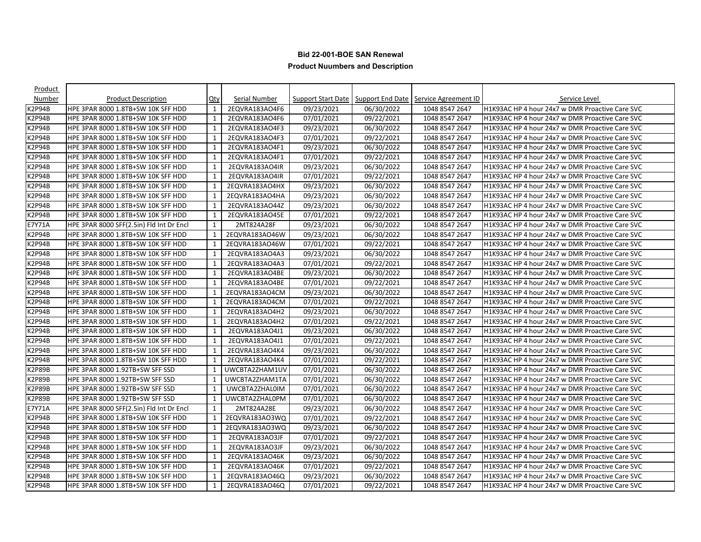| Product          |                                          |              |                |            |            |                                                              |                                                 |
|------------------|------------------------------------------|--------------|----------------|------------|------------|--------------------------------------------------------------|-------------------------------------------------|
| Number           | <b>Product Description</b>               | Qty          | Serial Number  |            |            | Support Start Date   Support End Date   Service Agreement ID | Service Level                                   |
| <b>&lt;2P94B</b> | HPE 3PAR 8000 1.8TB+SW 10K SFF HDD       | $\mathbf{1}$ | 2EQVRA183AO4F6 | 09/23/2021 | 06/30/2022 | 1048 8547 2647                                               | H1K93AC HP 4 hour 24x7 w DMR Proactive Care SVC |
| K2P94B           | HPE 3PAR 8000 1.8TB+SW 10K SFF HDD       | 1            | 2EQVRA183AO4F6 | 07/01/2021 | 09/22/2021 | 1048 8547 2647                                               | H1K93AC HP 4 hour 24x7 w DMR Proactive Care SVC |
| K2P94B           | HPE 3PAR 8000 1.8TB+SW 10K SFF HDD       | $\mathbf{1}$ | 2EQVRA183AO4F3 | 09/23/2021 | 06/30/2022 | 1048 8547 2647                                               | H1K93AC HP 4 hour 24x7 w DMR Proactive Care SVC |
| <b>K2P94B</b>    | HPE 3PAR 8000 1.8TB+SW 10K SFF HDD       | 1            | 2EQVRA183AO4F3 | 07/01/2021 | 09/22/2021 | 1048 8547 2647                                               | H1K93AC HP 4 hour 24x7 w DMR Proactive Care SVC |
| K2P94B           | HPE 3PAR 8000 1.8TB+SW 10K SFF HDD       | 1            | 2EQVRA183AO4F1 | 09/23/2021 | 06/30/2022 | 1048 8547 2647                                               | H1K93AC HP 4 hour 24x7 w DMR Proactive Care SVC |
| K2P94B           | HPE 3PAR 8000 1.8TB+SW 10K SFF HDD       | $\mathbf{1}$ | 2EQVRA183AO4F1 | 07/01/2021 | 09/22/2021 | 1048 8547 2647                                               | H1K93AC HP 4 hour 24x7 w DMR Proactive Care SVC |
| K2P94B           | HPE 3PAR 8000 1.8TB+SW 10K SFF HDD       | 1            | 2EQVRA183AO4IR | 09/23/2021 | 06/30/2022 | 1048 8547 2647                                               | H1K93AC HP 4 hour 24x7 w DMR Proactive Care SVC |
| K2P94B           | HPE 3PAR 8000 1.8TB+SW 10K SFF HDD       | 1            | 2EQVRA183AO4IR | 07/01/2021 | 09/22/2021 | 1048 8547 2647                                               | H1K93AC HP 4 hour 24x7 w DMR Proactive Care SVC |
| K2P94B           | HPE 3PAR 8000 1.8TB+SW 10K SFF HDD       | 1            | 2EQVRA183AO4HX | 09/23/2021 | 06/30/2022 | 1048 8547 2647                                               | H1K93AC HP 4 hour 24x7 w DMR Proactive Care SVC |
| K2P94B           | HPE 3PAR 8000 1.8TB+SW 10K SFF HDD       | 1            | 2EQVRA183AO4HA | 09/23/2021 | 06/30/2022 | 1048 8547 2647                                               | H1K93AC HP 4 hour 24x7 w DMR Proactive Care SVC |
| K2P94B           | HPE 3PAR 8000 1.8TB+SW 10K SFF HDD       | $\mathbf{1}$ | 2EQVRA183AO44Z | 09/23/2021 | 06/30/2022 | 1048 8547 2647                                               | H1K93AC HP 4 hour 24x7 w DMR Proactive Care SVC |
| K2P94B           | HPE 3PAR 8000 1.8TB+SW 10K SFF HDD       | $\mathbf{1}$ | 2EQVRA183AO45E | 07/01/2021 | 09/22/2021 | 1048 8547 2647                                               | H1K93AC HP 4 hour 24x7 w DMR Proactive Care SVC |
| E7Y71A           | HPE 3PAR 8000 SFF(2.5in) Fld Int Dr Encl | 1            | 2MT824A28F     | 09/23/2021 | 06/30/2022 | 1048 8547 2647                                               | H1K93AC HP 4 hour 24x7 w DMR Proactive Care SVC |
| K2P94B           | HPE 3PAR 8000 1.8TB+SW 10K SFF HDD       | 1            | 2EQVRA183AO46W | 09/23/2021 | 06/30/2022 | 1048 8547 2647                                               | H1K93AC HP 4 hour 24x7 w DMR Proactive Care SVC |
| <b>K2P94B</b>    | HPE 3PAR 8000 1.8TB+SW 10K SFF HDD       | $\mathbf{1}$ | 2EQVRA183AO46W | 07/01/2021 | 09/22/2021 | 1048 8547 2647                                               | H1K93AC HP 4 hour 24x7 w DMR Proactive Care SVC |
| K2P94B           | HPE 3PAR 8000 1.8TB+SW 10K SFF HDD       | 1            | 2EQVRA183AO4A3 | 09/23/2021 | 06/30/2022 | 1048 8547 2647                                               | H1K93AC HP 4 hour 24x7 w DMR Proactive Care SVC |
| K2P94B           | HPE 3PAR 8000 1.8TB+SW 10K SFF HDD       | 1            | 2EQVRA183AO4A3 | 07/01/2021 | 09/22/2021 | 1048 8547 2647                                               | H1K93AC HP 4 hour 24x7 w DMR Proactive Care SVC |
| K2P94B           | HPE 3PAR 8000 1.8TB+SW 10K SFF HDD       | 1            | 2EQVRA183AO4BE | 09/23/2021 | 06/30/2022 | 1048 8547 2647                                               | H1K93AC HP 4 hour 24x7 w DMR Proactive Care SVC |
| K2P94B           | HPE 3PAR 8000 1.8TB+SW 10K SFF HDD       | 1            | 2EQVRA183AO4BE | 07/01/2021 | 09/22/2021 | 1048 8547 2647                                               | H1K93AC HP 4 hour 24x7 w DMR Proactive Care SVC |
| K2P94B           | HPE 3PAR 8000 1.8TB+SW 10K SFF HDD       | $\mathbf{1}$ | 2EQVRA183AO4CM | 09/23/2021 | 06/30/2022 | 1048 8547 2647                                               | H1K93AC HP 4 hour 24x7 w DMR Proactive Care SVC |
| K2P94B           | HPE 3PAR 8000 1.8TB+SW 10K SFF HDD       | 1            | 2EQVRA183AO4CM | 07/01/2021 | 09/22/2021 | 1048 8547 2647                                               | H1K93AC HP 4 hour 24x7 w DMR Proactive Care SVC |
| K2P94B           | HPE 3PAR 8000 1.8TB+SW 10K SFF HDD       | 1            | 2EQVRA183AO4H2 | 09/23/2021 | 06/30/2022 | 1048 8547 2647                                               | H1K93AC HP 4 hour 24x7 w DMR Proactive Care SVC |
| K2P94B           | HPE 3PAR 8000 1.8TB+SW 10K SFF HDD       | 1            | 2EQVRA183AO4H2 | 07/01/2021 | 09/22/2021 | 1048 8547 2647                                               | H1K93AC HP 4 hour 24x7 w DMR Proactive Care SVC |
| K2P94B           | HPE 3PAR 8000 1.8TB+SW 10K SFF HDD       | $\mathbf{1}$ | 2EQVRA183AO4J1 | 09/23/2021 | 06/30/2022 | 1048 8547 2647                                               | H1K93AC HP 4 hour 24x7 w DMR Proactive Care SVC |
| K2P94B           | HPE 3PAR 8000 1.8TB+SW 10K SFF HDD       | 1            | 2EQVRA183AO4J1 | 07/01/2021 | 09/22/2021 | 1048 8547 2647                                               | H1K93AC HP 4 hour 24x7 w DMR Proactive Care SVC |
| K2P94B           | HPE 3PAR 8000 1.8TB+SW 10K SFF HDD       | 1            | 2EQVRA183AO4K4 | 09/23/2021 | 06/30/2022 | 1048 8547 2647                                               | H1K93AC HP 4 hour 24x7 w DMR Proactive Care SVC |
| K2P94B           | HPE 3PAR 8000 1.8TB+SW 10K SFF HDD       | 1            | 2EQVRA183AO4K4 | 07/01/2021 | 09/22/2021 | 1048 8547 2647                                               | H1K93AC HP 4 hour 24x7 w DMR Proactive Care SVC |
| K2P89B           | HPE 3PAR 8000 1.92TB+SW SFF SSD          | $\mathbf{1}$ | UWCBTA2ZHAM1UV | 07/01/2021 | 06/30/2022 | 1048 8547 2647                                               | H1K93AC HP 4 hour 24x7 w DMR Proactive Care SVC |
| K2P89B           | HPE 3PAR 8000 1.92TB+SW SFF SSD          | 1            | UWCBTA2ZHAM1TA | 07/01/2021 | 06/30/2022 | 1048 8547 2647                                               | H1K93AC HP 4 hour 24x7 w DMR Proactive Care SVC |
| K2P89B           | HPE 3PAR 8000 1.92TB+SW SFF SSD          | 1            | UWCBTA2ZHAL0IM | 07/01/2021 | 06/30/2022 | 1048 8547 2647                                               | H1K93AC HP 4 hour 24x7 w DMR Proactive Care SVC |
| <b>K2P89B</b>    | HPE 3PAR 8000 1.92TB+SW SFF SSD          | 1            | UWCBTA2ZHAL0PM | 07/01/2021 | 06/30/2022 | 1048 8547 2647                                               | H1K93AC HP 4 hour 24x7 w DMR Proactive Care SVC |
| E7Y71A           | HPE 3PAR 8000 SFF(2.5in) Fld Int Dr Encl | 1            | 2MT824A28E     | 09/23/2021 | 06/30/2022 | 1048 8547 2647                                               | H1K93AC HP 4 hour 24x7 w DMR Proactive Care SVC |
| K2P94B           | HPE 3PAR 8000 1.8TB+SW 10K SFF HDD       | $\mathbf{1}$ | 2EQVRA183AO3WQ | 07/01/2021 | 09/22/2021 | 1048 8547 2647                                               | H1K93AC HP 4 hour 24x7 w DMR Proactive Care SVC |
| K2P94B           | HPE 3PAR 8000 1.8TB+SW 10K SFF HDD       | 1            | 2EQVRA183AO3WQ | 09/23/2021 | 06/30/2022 | 1048 8547 2647                                               | H1K93AC HP 4 hour 24x7 w DMR Proactive Care SVC |
| K2P94B           | HPE 3PAR 8000 1.8TB+SW 10K SFF HDD       | 1            | 2EQVRA183AO3JF | 07/01/2021 | 09/22/2021 | 1048 8547 2647                                               | H1K93AC HP 4 hour 24x7 w DMR Proactive Care SVC |
| K2P94B           | HPE 3PAR 8000 1.8TB+SW 10K SFF HDD       | $\mathbf{1}$ | 2EQVRA183AO3JF | 09/23/2021 | 06/30/2022 | 1048 8547 2647                                               | H1K93AC HP 4 hour 24x7 w DMR Proactive Care SVC |
| K2P94B           | HPE 3PAR 8000 1.8TB+SW 10K SFF HDD       | $\mathbf{1}$ | 2EQVRA183AO46K | 09/23/2021 | 06/30/2022 | 1048 8547 2647                                               | H1K93AC HP 4 hour 24x7 w DMR Proactive Care SVC |
| K2P94B           | HPE 3PAR 8000 1.8TB+SW 10K SFF HDD       | $\mathbf{1}$ | 2EQVRA183AO46K | 07/01/2021 | 09/22/2021 | 1048 8547 2647                                               | H1K93AC HP 4 hour 24x7 w DMR Proactive Care SVC |
| K2P94B           | HPE 3PAR 8000 1.8TB+SW 10K SFF HDD       | 1            | 2EQVRA183AO46Q | 09/23/2021 | 06/30/2022 | 1048 8547 2647                                               | H1K93AC HP 4 hour 24x7 w DMR Proactive Care SVC |
| K2P94B           | HPE 3PAR 8000 1.8TB+SW 10K SFF HDD       | $\mathbf{1}$ | 2EQVRA183AO46Q | 07/01/2021 | 09/22/2021 | 1048 8547 2647                                               | H1K93AC HP 4 hour 24x7 w DMR Proactive Care SVC |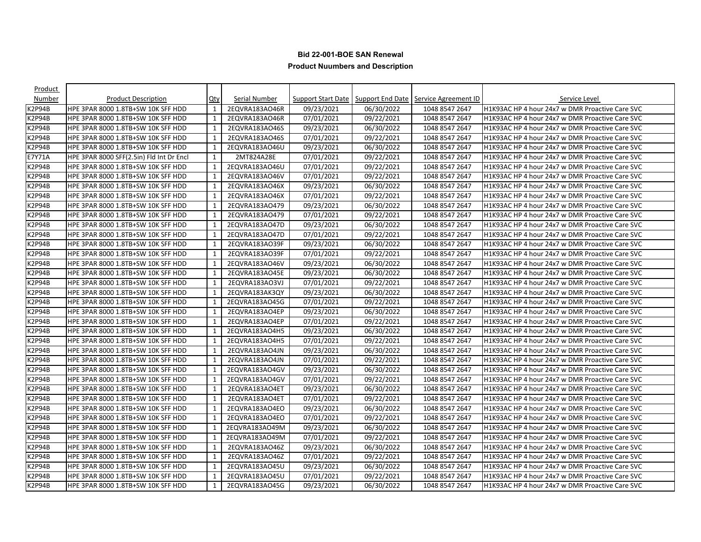| Product          |                                          |              |                |            |            |                                                              |                                                 |
|------------------|------------------------------------------|--------------|----------------|------------|------------|--------------------------------------------------------------|-------------------------------------------------|
| Number           | <b>Product Description</b>               | $Q$ ty       | Serial Number  |            |            | Support Start Date   Support End Date   Service Agreement ID | Service Level                                   |
| <b>&lt;2P94B</b> | HPE 3PAR 8000 1.8TB+SW 10K SFF HDD       | $\mathbf{1}$ | 2EQVRA183AO46R | 09/23/2021 | 06/30/2022 | 1048 8547 2647                                               | H1K93AC HP 4 hour 24x7 w DMR Proactive Care SVC |
| K2P94B           | HPE 3PAR 8000 1.8TB+SW 10K SFF HDD       | 1            | 2EQVRA183AO46R | 07/01/2021 | 09/22/2021 | 1048 8547 2647                                               | H1K93AC HP 4 hour 24x7 w DMR Proactive Care SVC |
| K2P94B           | HPE 3PAR 8000 1.8TB+SW 10K SFF HDD       | 1            | 2EQVRA183AO46S | 09/23/2021 | 06/30/2022 | 1048 8547 2647                                               | H1K93AC HP 4 hour 24x7 w DMR Proactive Care SVC |
| K2P94B           | HPE 3PAR 8000 1.8TB+SW 10K SFF HDD       | 1            | 2EQVRA183AO46S | 07/01/2021 | 09/22/2021 | 1048 8547 2647                                               | H1K93AC HP 4 hour 24x7 w DMR Proactive Care SVC |
| K2P94B           | HPE 3PAR 8000 1.8TB+SW 10K SFF HDD       | 1            | 2EQVRA183AO46U | 09/23/2021 | 06/30/2022 | 1048 8547 2647                                               | H1K93AC HP 4 hour 24x7 w DMR Proactive Care SVC |
| E7Y71A           | HPE 3PAR 8000 SFF(2.5in) Fld Int Dr Encl | $\mathbf{1}$ | 2MT824A28E     | 07/01/2021 | 09/22/2021 | 1048 8547 2647                                               | H1K93AC HP 4 hour 24x7 w DMR Proactive Care SVC |
| K2P94B           | HPE 3PAR 8000 1.8TB+SW 10K SFF HDD       | 1            | 2EQVRA183AO46U | 07/01/2021 | 09/22/2021 | 1048 8547 2647                                               | H1K93AC HP 4 hour 24x7 w DMR Proactive Care SVC |
| K2P94B           | HPE 3PAR 8000 1.8TB+SW 10K SFF HDD       | 1            | 2EQVRA183AO46V | 07/01/2021 | 09/22/2021 | 1048 8547 2647                                               | H1K93AC HP 4 hour 24x7 w DMR Proactive Care SVC |
| K2P94B           | HPE 3PAR 8000 1.8TB+SW 10K SFF HDD       | 1            | 2EQVRA183AO46X | 09/23/2021 | 06/30/2022 | 1048 8547 2647                                               | H1K93AC HP 4 hour 24x7 w DMR Proactive Care SVC |
| K2P94B           | HPE 3PAR 8000 1.8TB+SW 10K SFF HDD       | $\mathbf{1}$ | 2EQVRA183AO46X | 07/01/2021 | 09/22/2021 | 1048 8547 2647                                               | H1K93AC HP 4 hour 24x7 w DMR Proactive Care SVC |
| K2P94B           | HPE 3PAR 8000 1.8TB+SW 10K SFF HDD       | 1            | 2EQVRA183AO479 | 09/23/2021 | 06/30/2022 | 1048 8547 2647                                               | H1K93AC HP 4 hour 24x7 w DMR Proactive Care SVC |
| K2P94B           | HPE 3PAR 8000 1.8TB+SW 10K SFF HDD       | 1            | 2EQVRA183AO479 | 07/01/2021 | 09/22/2021 | 1048 8547 2647                                               | H1K93AC HP 4 hour 24x7 w DMR Proactive Care SVC |
| K2P94B           | HPE 3PAR 8000 1.8TB+SW 10K SFF HDD       | $\mathbf{1}$ | 2EQVRA183AO47D | 09/23/2021 | 06/30/2022 | 1048 8547 2647                                               | H1K93AC HP 4 hour 24x7 w DMR Proactive Care SVC |
| K2P94B           | HPE 3PAR 8000 1.8TB+SW 10K SFF HDD       | 1            | 2EQVRA183AO47D | 07/01/2021 | 09/22/2021 | 1048 8547 2647                                               | H1K93AC HP 4 hour 24x7 w DMR Proactive Care SVC |
| K2P94B           | HPE 3PAR 8000 1.8TB+SW 10K SFF HDD       | 1            | 2EQVRA183AO39F | 09/23/2021 | 06/30/2022 | 1048 8547 2647                                               | H1K93AC HP 4 hour 24x7 w DMR Proactive Care SVC |
| K2P94B           | HPE 3PAR 8000 1.8TB+SW 10K SFF HDD       | 1            | 2EQVRA183AO39F | 07/01/2021 | 09/22/2021 | 1048 8547 2647                                               | H1K93AC HP 4 hour 24x7 w DMR Proactive Care SVC |
| <b>&lt;2P94B</b> | HPE 3PAR 8000 1.8TB+SW 10K SFF HDD       | 1            | 2EQVRA183AO46V | 09/23/2021 | 06/30/2022 | 1048 8547 2647                                               | H1K93AC HP 4 hour 24x7 w DMR Proactive Care SVC |
| K2P94B           | HPE 3PAR 8000 1.8TB+SW 10K SFF HDD       | 1            | 2EQVRA183AO45E | 09/23/2021 | 06/30/2022 | 1048 8547 2647                                               | H1K93AC HP 4 hour 24x7 w DMR Proactive Care SVC |
| K2P94B           | HPE 3PAR 8000 1.8TB+SW 10K SFF HDD       | $\mathbf{1}$ | 2EQVRA183AO3VJ | 07/01/2021 | 09/22/2021 | 1048 8547 2647                                               | H1K93AC HP 4 hour 24x7 w DMR Proactive Care SVC |
| K2P94B           | HPE 3PAR 8000 1.8TB+SW 10K SFF HDD       | 1            | 2EQVRA183AK3QY | 09/23/2021 | 06/30/2022 | 1048 8547 2647                                               | H1K93AC HP 4 hour 24x7 w DMR Proactive Care SVC |
| K2P94B           | HPE 3PAR 8000 1.8TB+SW 10K SFF HDD       | $\mathbf{1}$ | 2EQVRA183AO45G | 07/01/2021 | 09/22/2021 | 1048 8547 2647                                               | H1K93AC HP 4 hour 24x7 w DMR Proactive Care SVC |
| <b>K2P94B</b>    | HPE 3PAR 8000 1.8TB+SW 10K SFF HDD       | 1            | 2EQVRA183AO4EP | 09/23/2021 | 06/30/2022 | 1048 8547 2647                                               | H1K93AC HP 4 hour 24x7 w DMR Proactive Care SVC |
| K2P94B           | HPE 3PAR 8000 1.8TB+SW 10K SFF HDD       | 1            | 2EQVRA183AO4EP | 07/01/2021 | 09/22/2021 | 1048 8547 2647                                               | H1K93AC HP 4 hour 24x7 w DMR Proactive Care SVC |
| <b>K2P94B</b>    | HPE 3PAR 8000 1.8TB+SW 10K SFF HDD       | $\mathbf{1}$ | 2EQVRA183AO4H5 | 09/23/2021 | 06/30/2022 | 1048 8547 2647                                               | H1K93AC HP 4 hour 24x7 w DMR Proactive Care SVC |
| K2P94B           | HPE 3PAR 8000 1.8TB+SW 10K SFF HDD       | 1            | 2EQVRA183AO4H5 | 07/01/2021 | 09/22/2021 | 1048 8547 2647                                               | H1K93AC HP 4 hour 24x7 w DMR Proactive Care SVC |
| K2P94B           | HPE 3PAR 8000 1.8TB+SW 10K SFF HDD       | 1            | 2EQVRA183AO4JN | 09/23/2021 | 06/30/2022 | 1048 8547 2647                                               | H1K93AC HP 4 hour 24x7 w DMR Proactive Care SVC |
| K2P94B           | HPE 3PAR 8000 1.8TB+SW 10K SFF HDD       | 1            | 2EQVRA183AO4JN | 07/01/2021 | 09/22/2021 | 1048 8547 2647                                               | H1K93AC HP 4 hour 24x7 w DMR Proactive Care SVC |
| K2P94B           | HPE 3PAR 8000 1.8TB+SW 10K SFF HDD       | $\mathbf{1}$ | 2EQVRA183AO4GV | 09/23/2021 | 06/30/2022 | 1048 8547 2647                                               | H1K93AC HP 4 hour 24x7 w DMR Proactive Care SVC |
| K2P94B           | HPE 3PAR 8000 1.8TB+SW 10K SFF HDD       | $\mathbf{1}$ | 2EQVRA183AO4GV | 07/01/2021 | 09/22/2021 | 1048 8547 2647                                               | H1K93AC HP 4 hour 24x7 w DMR Proactive Care SVC |
| K2P94B           | HPE 3PAR 8000 1.8TB+SW 10K SFF HDD       | 1            | 2EQVRA183AO4ET | 09/23/2021 | 06/30/2022 | 1048 8547 2647                                               | H1K93AC HP 4 hour 24x7 w DMR Proactive Care SVC |
| K2P94B           | HPE 3PAR 8000 1.8TB+SW 10K SFF HDD       | 1            | 2EQVRA183AO4ET | 07/01/2021 | 09/22/2021 | 1048 8547 2647                                               | H1K93AC HP 4 hour 24x7 w DMR Proactive Care SVC |
| K2P94B           | HPE 3PAR 8000 1.8TB+SW 10K SFF HDD       | 1            | 2EQVRA183AO4EO | 09/23/2021 | 06/30/2022 | 1048 8547 2647                                               | H1K93AC HP 4 hour 24x7 w DMR Proactive Care SVC |
| K2P94B           | HPE 3PAR 8000 1.8TB+SW 10K SFF HDD       | $\mathbf{1}$ | 2EQVRA183AO4EO | 07/01/2021 | 09/22/2021 | 1048 8547 2647                                               | H1K93AC HP 4 hour 24x7 w DMR Proactive Care SVC |
| K2P94B           | HPE 3PAR 8000 1.8TB+SW 10K SFF HDD       | 1            | 2EQVRA183AO49M | 09/23/2021 | 06/30/2022 | 1048 8547 2647                                               | H1K93AC HP 4 hour 24x7 w DMR Proactive Care SVC |
| K2P94B           | HPE 3PAR 8000 1.8TB+SW 10K SFF HDD       | 1            | 2EQVRA183AO49M | 07/01/2021 | 09/22/2021 | 1048 8547 2647                                               | H1K93AC HP 4 hour 24x7 w DMR Proactive Care SVC |
| K2P94B           | HPE 3PAR 8000 1.8TB+SW 10K SFF HDD       | 1            | 2EQVRA183AO46Z | 09/23/2021 | 06/30/2022 | 1048 8547 2647                                               | H1K93AC HP 4 hour 24x7 w DMR Proactive Care SVC |
| K2P94B           | HPE 3PAR 8000 1.8TB+SW 10K SFF HDD       | $\mathbf{1}$ | 2EQVRA183AO46Z | 07/01/2021 | 09/22/2021 | 1048 8547 2647                                               | H1K93AC HP 4 hour 24x7 w DMR Proactive Care SVC |
| K2P94B           | HPE 3PAR 8000 1.8TB+SW 10K SFF HDD       | $\mathbf{1}$ | 2EQVRA183AO45U | 09/23/2021 | 06/30/2022 | 1048 8547 2647                                               | H1K93AC HP 4 hour 24x7 w DMR Proactive Care SVC |
| K2P94B           | HPE 3PAR 8000 1.8TB+SW 10K SFF HDD       | 1            | 2EQVRA183AO45U | 07/01/2021 | 09/22/2021 | 1048 8547 2647                                               | H1K93AC HP 4 hour 24x7 w DMR Proactive Care SVC |
| K2P94B           | HPE 3PAR 8000 1.8TB+SW 10K SFF HDD       | $\mathbf{1}$ | 2EQVRA183AO45G | 09/23/2021 | 06/30/2022 | 1048 8547 2647                                               | H1K93AC HP 4 hour 24x7 w DMR Proactive Care SVC |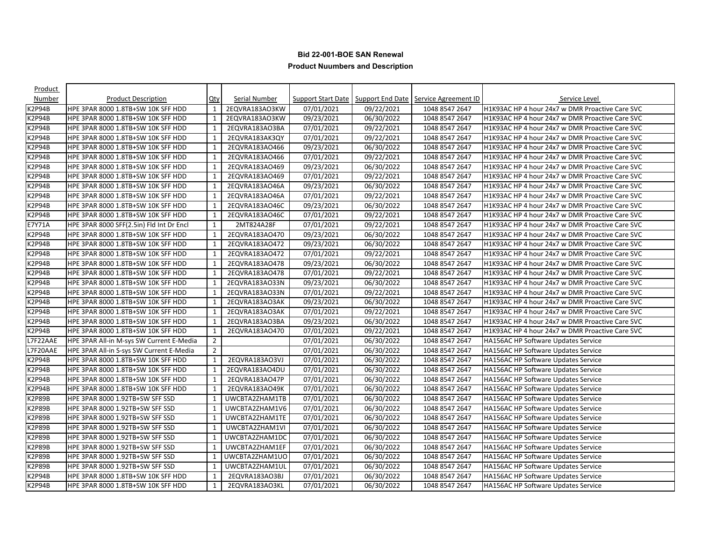| Product       |                                          |                |                      |                      |            |                                                                     |                                                 |
|---------------|------------------------------------------|----------------|----------------------|----------------------|------------|---------------------------------------------------------------------|-------------------------------------------------|
| Number        | <b>Product Description</b>               | <u>Qty</u>     | <b>Serial Number</b> |                      |            | <b>Support Start Date   Support End Date   Service Agreement ID</b> | Service Level                                   |
| K2P94B        | HPE 3PAR 8000 1.8TB+SW 10K SFF HDD       | 1              | 2EQVRA183AO3KW       | 07/01/2021           | 09/22/2021 | 1048 8547 2647                                                      | H1K93AC HP 4 hour 24x7 w DMR Proactive Care SVC |
| K2P94B        | HPE 3PAR 8000 1.8TB+SW 10K SFF HDD       | 1              | 2EQVRA183AO3KW       | 09/23/2021           | 06/30/2022 | 1048 8547 2647                                                      | H1K93AC HP 4 hour 24x7 w DMR Proactive Care SVC |
| K2P94B        | HPE 3PAR 8000 1.8TB+SW 10K SFF HDD       | $\mathbf{1}$   | 2EQVRA183AO3BA       | 07/01/2021           | 09/22/2021 | 1048 8547 2647                                                      | H1K93AC HP 4 hour 24x7 w DMR Proactive Care SVC |
| K2P94B        | HPE 3PAR 8000 1.8TB+SW 10K SFF HDD       | 1              | 2EQVRA183AK3QY       | 07/01/2021           | 09/22/2021 | 1048 8547 2647                                                      | H1K93AC HP 4 hour 24x7 w DMR Proactive Care SVC |
| K2P94B        | HPE 3PAR 8000 1.8TB+SW 10K SFF HDD       | $\mathbf{1}$   | 2EQVRA183AO466       | 09/23/2021           | 06/30/2022 | 1048 8547 2647                                                      | H1K93AC HP 4 hour 24x7 w DMR Proactive Care SVC |
| <b>K2P94B</b> | HPE 3PAR 8000 1.8TB+SW 10K SFF HDD       | $\mathbf{1}$   | 2EQVRA183AO466       | 07/01/2021           | 09/22/2021 | 1048 8547 2647                                                      | H1K93AC HP 4 hour 24x7 w DMR Proactive Care SVC |
| K2P94B        | HPE 3PAR 8000 1.8TB+SW 10K SFF HDD       | 1              | 2EQVRA183AO469       | 09/23/2021           | 06/30/2022 | 1048 8547 2647                                                      | H1K93AC HP 4 hour 24x7 w DMR Proactive Care SVC |
| K2P94B        | HPE 3PAR 8000 1.8TB+SW 10K SFF HDD       | 1              | 2EQVRA183AO469       | 07/01/2021           | 09/22/2021 | 1048 8547 2647                                                      | H1K93AC HP 4 hour 24x7 w DMR Proactive Care SVC |
| K2P94B        | HPE 3PAR 8000 1.8TB+SW 10K SFF HDD       | 1              | 2EQVRA183AO46A       | 09/23/2021           | 06/30/2022 | 1048 8547 2647                                                      | H1K93AC HP 4 hour 24x7 w DMR Proactive Care SVC |
| K2P94B        | HPE 3PAR 8000 1.8TB+SW 10K SFF HDD       | $\mathbf{1}$   | 2EQVRA183AO46A       | 07/01/2021           | 09/22/2021 | 1048 8547 2647                                                      | H1K93AC HP 4 hour 24x7 w DMR Proactive Care SVC |
| <b>K2P94B</b> | HPE 3PAR 8000 1.8TB+SW 10K SFF HDD       | $\mathbf{1}$   | 2EQVRA183AO46C       | 09/23/2021           | 06/30/2022 | 1048 8547 2647                                                      | H1K93AC HP 4 hour 24x7 w DMR Proactive Care SVC |
| K2P94B        | HPE 3PAR 8000 1.8TB+SW 10K SFF HDD       | 1              | 2EQVRA183AO46C       | 07/01/2021           | 09/22/2021 | 1048 8547 2647                                                      | H1K93AC HP 4 hour 24x7 w DMR Proactive Care SVC |
| E7Y71A        | HPE 3PAR 8000 SFF(2.5in) Fld Int Dr Encl | $\mathbf{1}$   | 2MT824A28F           | 07/01/2021           | 09/22/2021 | 1048 8547 2647                                                      | H1K93AC HP 4 hour 24x7 w DMR Proactive Care SVC |
| K2P94B        | HPE 3PAR 8000 1.8TB+SW 10K SFF HDD       | $\mathbf{1}$   | 2EQVRA183AO470       | 09/23/2021           | 06/30/2022 | 1048 8547 2647                                                      | H1K93AC HP 4 hour 24x7 w DMR Proactive Care SVC |
| <b>K2P94B</b> | HPE 3PAR 8000 1.8TB+SW 10K SFF HDD       | 1              | 2EQVRA183AO472       | 09/23/2021           | 06/30/2022 | 1048 8547 2647                                                      | H1K93AC HP 4 hour 24x7 w DMR Proactive Care SVC |
| K2P94B        | HPE 3PAR 8000 1.8TB+SW 10K SFF HDD       | 1              | 2EQVRA183AO472       | 07/01/2021           | 09/22/2021 | 1048 8547 2647                                                      | H1K93AC HP 4 hour 24x7 w DMR Proactive Care SVC |
| K2P94B        | HPE 3PAR 8000 1.8TB+SW 10K SFF HDD       | 1              | 2EQVRA183AO478       | 09/23/2021           | 06/30/2022 | 1048 8547 2647                                                      | H1K93AC HP 4 hour 24x7 w DMR Proactive Care SVC |
| K2P94B        | HPE 3PAR 8000 1.8TB+SW 10K SFF HDD       | 1              | 2EQVRA183AO478       | 07/01/2021           | 09/22/2021 | 1048 8547 2647                                                      | H1K93AC HP 4 hour 24x7 w DMR Proactive Care SVC |
| K2P94B        | HPE 3PAR 8000 1.8TB+SW 10K SFF HDD       | $\mathbf{1}$   | 2EQVRA183AO33N       | 09/23/2021           | 06/30/2022 | 1048 8547 2647                                                      | H1K93AC HP 4 hour 24x7 w DMR Proactive Care SVC |
| K2P94B        | HPE 3PAR 8000 1.8TB+SW 10K SFF HDD       | $\mathbf{1}$   | 2EQVRA183AO33N       | 07/01/2021           | 09/22/2021 | 1048 8547 2647                                                      | H1K93AC HP 4 hour 24x7 w DMR Proactive Care SVC |
| K2P94B        | HPE 3PAR 8000 1.8TB+SW 10K SFF HDD       | $\mathbf{1}$   | 2EQVRA183AO3AK       | 09/23/2021           | 06/30/2022 | 1048 8547 2647                                                      | H1K93AC HP 4 hour 24x7 w DMR Proactive Care SVC |
| K2P94B        | HPE 3PAR 8000 1.8TB+SW 10K SFF HDD       | 1              | 2EQVRA183AO3AK       | 07/01/2021           | 09/22/2021 | 1048 8547 2647                                                      | H1K93AC HP 4 hour 24x7 w DMR Proactive Care SVC |
| K2P94B        | HPE 3PAR 8000 1.8TB+SW 10K SFF HDD       | 1              | 2EQVRA183AO3BA       | 09/23/2021           | 06/30/2022 | 1048 8547 2647                                                      | H1K93AC HP 4 hour 24x7 w DMR Proactive Care SVC |
| <b>K2P94B</b> | HPE 3PAR 8000 1.8TB+SW 10K SFF HDD       | $\mathbf{1}$   | 2EQVRA183AO470       | 07/01/2021           | 09/22/2021 | 1048 8547 2647                                                      | H1K93AC HP 4 hour 24x7 w DMR Proactive Care SVC |
| L7F22AAE      | HPE 3PAR All-in M-sys SW Current E-Media | 2              |                      | 07/01/2021           | 06/30/2022 | 1048 8547 2647                                                      | <b>HA156AC HP Software Updates Service</b>      |
| L7F20AAE      | HPE 3PAR All-in S-sys SW Current E-Media | $\overline{2}$ |                      | 07/01/2021           | 06/30/2022 | 1048 8547 2647                                                      | <b>HA156AC HP Software Updates Service</b>      |
| K2P94B        | HPE 3PAR 8000 1.8TB+SW 10K SFF HDD       | 1              | 2EQVRA183AO3VJ       | $\frac{07}{01/2021}$ | 06/30/2022 | 1048 8547 2647                                                      | <b>HA156AC HP Software Updates Service</b>      |
| K2P94B        | HPE 3PAR 8000 1.8TB+SW 10K SFF HDD       | $\mathbf{1}$   | 2EQVRA183AO4DU       | 07/01/2021           | 06/30/2022 | 1048 8547 2647                                                      | HA156AC HP Software Updates Service             |
| K2P94B        | HPE 3PAR 8000 1.8TB+SW 10K SFF HDD       | $\mathbf{1}$   | 2EQVRA183AO47P       | 07/01/2021           | 06/30/2022 | 1048 8547 2647                                                      | HA156AC HP Software Updates Service             |
| K2P94B        | HPE 3PAR 8000 1.8TB+SW 10K SFF HDD       | 1              | 2EQVRA183AO49K       | 07/01/2021           | 06/30/2022 | 1048 8547 2647                                                      | <b>HA156AC HP Software Updates Service</b>      |
| K2P89B        | HPE 3PAR 8000 1.92TB+SW SFF SSD          | $\mathbf{1}$   | UWCBTA2ZHAM1TB       | 07/01/2021           | 06/30/2022 | 1048 8547 2647                                                      | HA156AC HP Software Updates Service             |
| K2P89B        | HPE 3PAR 8000 1.92TB+SW SFF SSD          | 1              | UWCBTA2ZHAM1V6       | 07/01/2021           | 06/30/2022 | 1048 8547 2647                                                      | <b>HA156AC HP Software Updates Service</b>      |
| K2P89B        | HPE 3PAR 8000 1.92TB+SW SFF SSD          | 1              | UWCBTA2ZHAM1TE       | 07/01/2021           | 06/30/2022 | 1048 8547 2647                                                      | <b>HA156AC HP Software Updates Service</b>      |
| K2P89B        | HPE 3PAR 8000 1.92TB+SW SFF SSD          | 1              | UWCBTA2ZHAM1VI       | 07/01/2021           | 06/30/2022 | 1048 8547 2647                                                      | HA156AC HP Software Updates Service             |
| K2P89B        | HPE 3PAR 8000 1.92TB+SW SFF SSD          | 1              | UWCBTA2ZHAM1DC       | 07/01/2021           | 06/30/2022 | 1048 8547 2647                                                      | <b>HA156AC HP Software Updates Service</b>      |
| K2P89B        | HPE 3PAR 8000 1.92TB+SW SFF SSD          | $\mathbf{1}$   | UWCBTA2ZHAM1EF       | 07/01/2021           | 06/30/2022 | 1048 8547 2647                                                      | <b>HA156AC HP Software Updates Service</b>      |
| K2P89B        | HPE 3PAR 8000 1.92TB+SW SFF SSD          | $\mathbf{1}$   | UWCBTA2ZHAM1UO       | 07/01/2021           | 06/30/2022 | 1048 8547 2647                                                      | HA156AC HP Software Updates Service             |
| K2P89B        | HPE 3PAR 8000 1.92TB+SW SFF SSD          | $\mathbf{1}$   | UWCBTA2ZHAM1UL       | 07/01/2021           | 06/30/2022 | 1048 8547 2647                                                      | <b>HA156AC HP Software Updates Service</b>      |
| K2P94B        | HPE 3PAR 8000 1.8TB+SW 10K SFF HDD       | 1              | 2EQVRA183AO3BJ       | 07/01/2021           | 06/30/2022 | 1048 8547 2647                                                      | HA156AC HP Software Updates Service             |
| K2P94B        | HPE 3PAR 8000 1.8TB+SW 10K SFF HDD       | $\mathbf{1}$   | 2EQVRA183AO3KL       | 07/01/2021           | 06/30/2022 | 1048 8547 2647                                                      | <b>HA156AC HP Software Updates Service</b>      |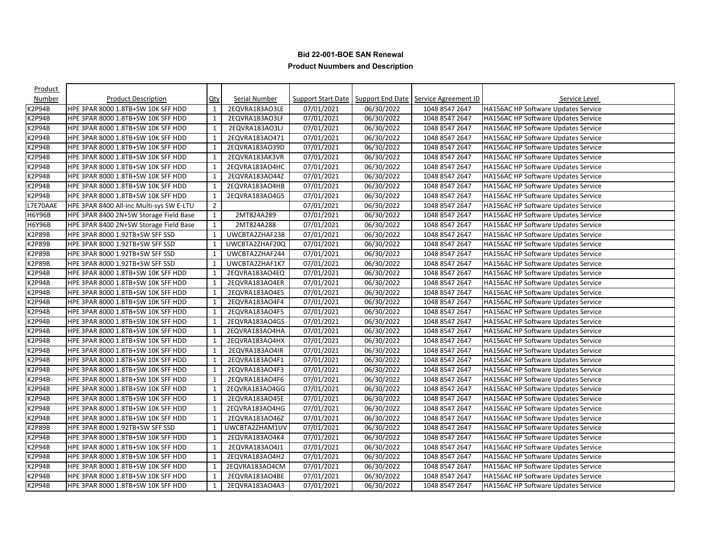| Product       |                                          |                |                      |                         |            |                                                                     |                                            |
|---------------|------------------------------------------|----------------|----------------------|-------------------------|------------|---------------------------------------------------------------------|--------------------------------------------|
| Number        | <b>Product Description</b>               | <u>Qty</u>     | <b>Serial Number</b> |                         |            | <b>Support Start Date   Support End Date   Service Agreement ID</b> | Service Level                              |
| K2P94B        | HPE 3PAR 8000 1.8TB+SW 10K SFF HDD       | $\mathbf{1}$   | 2EQVRA183AO3LE       | 07/01/2021              | 06/30/2022 | 1048 8547 2647                                                      | <b>HA156AC HP Software Updates Service</b> |
| K2P94B        | HPE 3PAR 8000 1.8TB+SW 10K SFF HDD       | 1              | 2EQVRA183AO3LF       | 07/01/2021              | 06/30/2022 | 1048 8547 2647                                                      | <b>HA156AC HP Software Updates Service</b> |
| K2P94B        | HPE 3PAR 8000 1.8TB+SW 10K SFF HDD       | $\mathbf{1}$   | 2EQVRA183AO3LJ       | 07/01/2021              | 06/30/2022 | 1048 8547 2647                                                      | HA156AC HP Software Updates Service        |
| <b>K2P94B</b> | HPE 3PAR 8000 1.8TB+SW 10K SFF HDD       | 1              | 2EQVRA183AO471       | 07/01/2021              | 06/30/2022 | 1048 8547 2647                                                      | <b>HA156AC HP Software Updates Service</b> |
| K2P94B        | HPE 3PAR 8000 1.8TB+SW 10K SFF HDD       | 1              | 2EQVRA183AO39D       | 07/01/2021              | 06/30/2022 | 1048 8547 2647                                                      | HA156AC HP Software Updates Service        |
| K2P94B        | HPE 3PAR 8000 1.8TB+SW 10K SFF HDD       | $\mathbf{1}$   | 2EQVRA183AK3VR       | 07/01/2021              | 06/30/2022 | 1048 8547 2647                                                      | HA156AC HP Software Updates Service        |
| K2P94B        | HPE 3PAR 8000 1.8TB+SW 10K SFF HDD       | 1              | 2EQVRA183AO4HC       | 07/01/2021              | 06/30/2022 | 1048 8547 2647                                                      | <b>HA156AC HP Software Updates Service</b> |
| K2P94B        | HPE 3PAR 8000 1.8TB+SW 10K SFF HDD       | 1              | 2EQVRA183AO44Z       | 07/01/2021              | 06/30/2022 | 1048 8547 2647                                                      | <b>HA156AC HP Software Updates Service</b> |
| K2P94B        | HPE 3PAR 8000 1.8TB+SW 10K SFF HDD       | 1              | 2EQVRA183AO4HB       | 07/01/2021              | 06/30/2022 | 1048 8547 2647                                                      | HA156AC HP Software Updates Service        |
| <b>K2P94B</b> | HPE 3PAR 8000 1.8TB+SW 10K SFF HDD       | $\mathbf{1}$   | 2EQVRA183AO4G5       | 07/01/2021              | 06/30/2022 | 1048 8547 2647                                                      | <b>HA156AC HP Software Updates Service</b> |
| L7E70AAE      | HPE 3PAR 8400 All-inc Multi-sys SW E-LTU | $\overline{2}$ |                      | 07/01/2021              | 06/30/2022 | 1048 8547 2647                                                      | <b>HA156AC HP Software Updates Service</b> |
| H6Y96B        | HPE 3PAR 8400 2N+SW Storage Field Base   | $\mathbf{1}$   | 2MT824A289           | $\overline{07/01}/2021$ | 06/30/2022 | 1048 8547 2647                                                      | <b>HA156AC HP Software Updates Service</b> |
| H6Y96B        | HPE 3PAR 8400 2N+SW Storage Field Base   | $\mathbf{1}$   | 2MT824A288           | 07/01/2021              | 06/30/2022 | 1048 8547 2647                                                      | <b>HA156AC HP Software Updates Service</b> |
| K2P89B        | HPE 3PAR 8000 1.92TB+SW SFF SSD          | $\mathbf{1}$   | UWCBTA2ZHAF238       | 07/01/2021              | 06/30/2022 | 1048 8547 2647                                                      | <b>HA156AC HP Software Updates Service</b> |
| <b>K2P89B</b> | HPE 3PAR 8000 1.92TB+SW SFF SSD          | $\mathbf{1}$   | UWCBTA2ZHAF20Q       | 07/01/2021              | 06/30/2022 | 1048 8547 2647                                                      | HA156AC HP Software Updates Service        |
| K2P89B        | HPE 3PAR 8000 1.92TB+SW SFF SSD          | 1              | UWCBTA2ZHAF244       | 07/01/2021              | 06/30/2022 | 1048 8547 2647                                                      | <b>HA156AC HP Software Updates Service</b> |
| K2P89B        | HPE 3PAR 8000 1.92TB+SW SFF SSD          | 1              | UWCBTA2ZHAF1K7       | 07/01/2021              | 06/30/2022 | 1048 8547 2647                                                      | <b>HA156AC HP Software Updates Service</b> |
| K2P94B        | HPE 3PAR 8000 1.8TB+SW 10K SFF HDD       | $\mathbf{1}$   | 2EQVRA183AO4EQ       | 07/01/2021              | 06/30/2022 | 1048 8547 2647                                                      | HA156AC HP Software Updates Service        |
| <b>K2P94B</b> | HPE 3PAR 8000 1.8TB+SW 10K SFF HDD       | $\mathbf{1}$   | 2EQVRA183AO4ER       | 07/01/2021              | 06/30/2022 | 1048 8547 2647                                                      | <b>HA156AC HP Software Updates Service</b> |
| K2P94B        | HPE 3PAR 8000 1.8TB+SW 10K SFF HDD       | $\mathbf{1}$   | 2EQVRA183AO4ES       | 07/01/2021              | 06/30/2022 | 1048 8547 2647                                                      | HA156AC HP Software Updates Service        |
| K2P94B        | HPE 3PAR 8000 1.8TB+SW 10K SFF HDD       | $\mathbf{1}$   | 2EQVRA183AO4F4       | 07/01/2021              | 06/30/2022 | 1048 8547 2647                                                      | <b>HA156AC HP Software Updates Service</b> |
| K2P94B        | HPE 3PAR 8000 1.8TB+SW 10K SFF HDD       | 1              | 2EQVRA183AO4F5       | 07/01/2021              | 06/30/2022 | 1048 8547 2647                                                      | <b>HA156AC HP Software Updates Service</b> |
| K2P94B        | HPE 3PAR 8000 1.8TB+SW 10K SFF HDD       | 1              | 2EQVRA183AO4GS       | 07/01/2021              | 06/30/2022 | 1048 8547 2647                                                      | <b>HA156AC HP Software Updates Service</b> |
| K2P94B        | HPE 3PAR 8000 1.8TB+SW 10K SFF HDD       | $\mathbf{1}$   | 2EQVRA183AO4HA       | 07/01/2021              | 06/30/2022 | 1048 8547 2647                                                      | HA156AC HP Software Updates Service        |
| K2P94B        | HPE 3PAR 8000 1.8TB+SW 10K SFF HDD       | 1              | 2EQVRA183AO4HX       | 07/01/2021              | 06/30/2022 | 1048 8547 2647                                                      | <b>HA156AC HP Software Updates Service</b> |
| <2P94B        | HPE 3PAR 8000 1.8TB+SW 10K SFF HDD       | 1              | 2EQVRA183AO4IR       | 07/01/2021              | 06/30/2022 | 1048 8547 2647                                                      | <b>HA156AC HP Software Updates Service</b> |
| K2P94B        | HPE 3PAR 8000 1.8TB+SW 10K SFF HDD       | $\mathbf{1}$   | 2EQVRA183AO4F1       | 07/01/2021              | 06/30/2022 | 1048 8547 2647                                                      | HA156AC HP Software Updates Service        |
| K2P94B        | HPE 3PAR 8000 1.8TB+SW 10K SFF HDD       | $\mathbf{1}$   | 2EQVRA183AO4F3       | 07/01/2021              | 06/30/2022 | 1048 8547 2647                                                      | <b>HA156AC HP Software Updates Service</b> |
| <b>K2P94B</b> | HPE 3PAR 8000 1.8TB+SW 10K SFF HDD       | $\mathbf{1}$   | 2EQVRA183AO4F6       | 07/01/2021              | 06/30/2022 | 1048 8547 2647                                                      | <b>HA156AC HP Software Updates Service</b> |
| K2P94B        | HPE 3PAR 8000 1.8TB+SW 10K SFF HDD       | $\mathbf{1}$   | 2EQVRA183AO4GG       | 07/01/2021              | 06/30/2022 | 1048 8547 2647                                                      | HA156AC HP Software Updates Service        |
| K2P94B        | HPE 3PAR 8000 1.8TB+SW 10K SFF HDD       | 1              | 2EQVRA183AO45E       | 07/01/2021              | 06/30/2022 | 1048 8547 2647                                                      | <b>HA156AC HP Software Updates Service</b> |
| K2P94B        | HPE 3PAR 8000 1.8TB+SW 10K SFF HDD       | 1              | 2EQVRA183AO4HG       | 07/01/2021              | 06/30/2022 | 1048 8547 2647                                                      | <b>HA156AC HP Software Updates Service</b> |
| K2P94B        | HPE 3PAR 8000 1.8TB+SW 10K SFF HDD       | $\mathbf{1}$   | 2EQVRA183AO46Z       | 07/01/2021              | 06/30/2022 | 1048 8547 2647                                                      | HA156AC HP Software Updates Service        |
| K2P89B        | HPE 3PAR 8000 1.92TB+SW SFF SSD          | 1              | UWCBTA2ZHAM1UV       | 07/01/2021              | 06/30/2022 | 1048 8547 2647                                                      | <b>HA156AC HP Software Updates Service</b> |
| K2P94B        | HPE 3PAR 8000 1.8TB+SW 10K SFF HDD       | 1              | 2EQVRA183AO4K4       | 07/01/2021              | 06/30/2022 | 1048 8547 2647                                                      | <b>HA156AC HP Software Updates Service</b> |
| K2P94B        | HPE 3PAR 8000 1.8TB+SW 10K SFF HDD       | 1              | 2EQVRA183AO4J1       | 07/01/2021              | 06/30/2022 | 1048 8547 2647                                                      | HA156AC HP Software Updates Service        |
| K2P94B        | HPE 3PAR 8000 1.8TB+SW 10K SFF HDD       | $\mathbf{1}$   | 2EQVRA183AO4H2       | 07/01/2021              | 06/30/2022 | 1048 8547 2647                                                      | HA156AC HP Software Updates Service        |
| <b>K2P94B</b> | HPE 3PAR 8000 1.8TB+SW 10K SFF HDD       | $\mathbf{1}$   | 2EQVRA183AO4CM       | 07/01/2021              | 06/30/2022 | 1048 8547 2647                                                      | <b>HA156AC HP Software Updates Service</b> |
| K2P94B        | HPE 3PAR 8000 1.8TB+SW 10K SFF HDD       | $\mathbf{1}$   | 2EQVRA183AO4BE       | 07/01/2021              | 06/30/2022 | 1048 8547 2647                                                      | <b>HA156AC HP Software Updates Service</b> |
| K2P94B        | HPE 3PAR 8000 1.8TB+SW 10K SFF HDD       | $\mathbf{1}$   | 2EQVRA183AO4A3       | 07/01/2021              | 06/30/2022 | 1048 8547 2647                                                      | <b>HA156AC HP Software Updates Service</b> |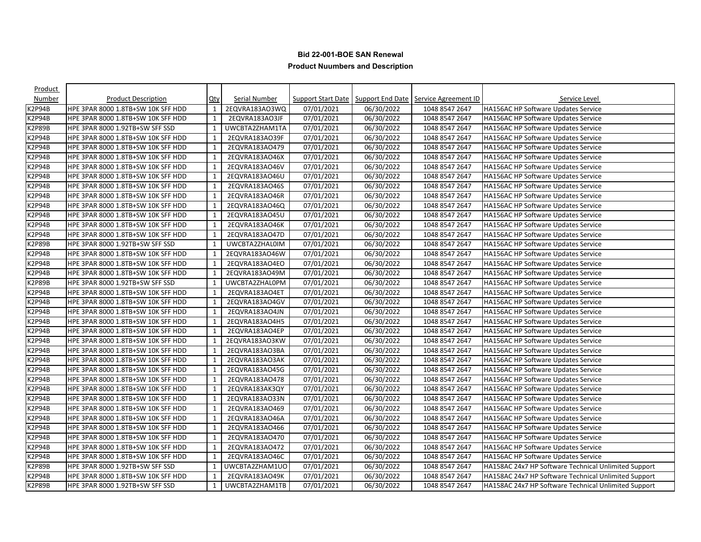| Product       |                                    |              |                      |                     |            |                                                                     |                                                      |
|---------------|------------------------------------|--------------|----------------------|---------------------|------------|---------------------------------------------------------------------|------------------------------------------------------|
| Number        | <b>Product Description</b>         | <u>Qty</u>   | <b>Serial Number</b> |                     |            | <b>Support Start Date   Support End Date   Service Agreement ID</b> | Service Level                                        |
| K2P94B        | HPE 3PAR 8000 1.8TB+SW 10K SFF HDD | $\mathbf{1}$ | 2EQVRA183AO3WQ       | 07/01/2021          | 06/30/2022 | 1048 8547 2647                                                      | <b>HA156AC HP Software Updates Service</b>           |
| K2P94B        | HPE 3PAR 8000 1.8TB+SW 10K SFF HDD | 1            | 2EQVRA183AO3JF       | 07/01/2021          | 06/30/2022 | 1048 8547 2647                                                      | <b>HA156AC HP Software Updates Service</b>           |
| K2P89B        | HPE 3PAR 8000 1.92TB+SW SFF SSD    | $\mathbf{1}$ | UWCBTA2ZHAM1TA       | 07/01/2021          | 06/30/2022 | 1048 8547 2647                                                      | HA156AC HP Software Updates Service                  |
| <b>K2P94B</b> | HPE 3PAR 8000 1.8TB+SW 10K SFF HDD | 1            | 2EQVRA183AO39F       | 07/01/2021          | 06/30/2022 | 1048 8547 2647                                                      | <b>HA156AC HP Software Updates Service</b>           |
| K2P94B        | HPE 3PAR 8000 1.8TB+SW 10K SFF HDD | 1            | 2EQVRA183AO479       | 07/01/2021          | 06/30/2022 | 1048 8547 2647                                                      | HA156AC HP Software Updates Service                  |
| K2P94B        | HPE 3PAR 8000 1.8TB+SW 10K SFF HDD | $\mathbf{1}$ | 2EQVRA183AO46X       | 07/01/2021          | 06/30/2022 | 1048 8547 2647                                                      | HA156AC HP Software Updates Service                  |
| K2P94B        | HPE 3PAR 8000 1.8TB+SW 10K SFF HDD | 1            | 2EQVRA183AO46V       | 07/01/2021          | 06/30/2022 | 1048 8547 2647                                                      | <b>HA156AC HP Software Updates Service</b>           |
| K2P94B        | HPE 3PAR 8000 1.8TB+SW 10K SFF HDD | 1            | 2EQVRA183AO46U       | 07/01/2021          | 06/30/2022 | 1048 8547 2647                                                      | <b>HA156AC HP Software Updates Service</b>           |
| K2P94B        | HPE 3PAR 8000 1.8TB+SW 10K SFF HDD | 1            | 2EQVRA183AO46S       | 07/01/2021          | 06/30/2022 | 1048 8547 2647                                                      | HA156AC HP Software Updates Service                  |
| <b>K2P94B</b> | HPE 3PAR 8000 1.8TB+SW 10K SFF HDD | $\mathbf{1}$ | 2EQVRA183AO46R       | 07/01/2021          | 06/30/2022 | 1048 8547 2647                                                      | <b>HA156AC HP Software Updates Service</b>           |
| <b>K2P94B</b> | HPE 3PAR 8000 1.8TB+SW 10K SFF HDD | 1            | 2EQVRA183AO46Q       | 07/01/2021          | 06/30/2022 | 1048 8547 2647                                                      | <b>HA156AC HP Software Updates Service</b>           |
| K2P94B        | HPE 3PAR 8000 1.8TB+SW 10K SFF HDD | $\mathbf{1}$ | 2EQVRA183AO45U       | 07/01/2021          | 06/30/2022 | 1048 8547 2647                                                      | HA156AC HP Software Updates Service                  |
| <b>K2P94B</b> | HPE 3PAR 8000 1.8TB+SW 10K SFF HDD | $\mathbf{1}$ | 2EQVRA183AO46K       | 07/01/2021          | 06/30/2022 | 1048 8547 2647                                                      | <b>HA156AC HP Software Updates Service</b>           |
| K2P94B        | HPE 3PAR 8000 1.8TB+SW 10K SFF HDD | $\mathbf{1}$ | 2EQVRA183AO47D       | 07/01/2021          | 06/30/2022 | 1048 8547 2647                                                      | <b>HA156AC HP Software Updates Service</b>           |
| <b>K2P89B</b> | HPE 3PAR 8000 1.92TB+SW SFF SSD    | $\mathbf{1}$ | UWCBTA2ZHAL0IM       | 07/01/2021          | 06/30/2022 | 1048 8547 2647                                                      | HA156AC HP Software Updates Service                  |
| K2P94B        | HPE 3PAR 8000 1.8TB+SW 10K SFF HDD | 1            | 2EQVRA183AO46W       | 07/01/2021          | 06/30/2022 | 1048 8547 2647                                                      | <b>HA156AC HP Software Updates Service</b>           |
| K2P94B        | HPE 3PAR 8000 1.8TB+SW 10K SFF HDD | 1            | 2EQVRA183AO4EO       | 07/01/2021          | 06/30/2022 | 1048 8547 2647                                                      | <b>HA156AC HP Software Updates Service</b>           |
| K2P94B        | HPE 3PAR 8000 1.8TB+SW 10K SFF HDD | $\mathbf{1}$ | 2EQVRA183AO49M       | 07/01/2021          | 06/30/2022 | 1048 8547 2647                                                      | HA156AC HP Software Updates Service                  |
| <b>K2P89B</b> | HPE 3PAR 8000 1.92TB+SW SFF SSD    | $\mathbf{1}$ | UWCBTA2ZHAL0PM       | 07/01/2021          | 06/30/2022 | 1048 8547 2647                                                      | <b>HA156AC HP Software Updates Service</b>           |
| K2P94B        | HPE 3PAR 8000 1.8TB+SW 10K SFF HDD | $\mathbf{1}$ | 2EQVRA183AO4ET       | 07/01/2021          | 06/30/2022 | 1048 8547 2647                                                      | HA156AC HP Software Updates Service                  |
| K2P94B        | HPE 3PAR 8000 1.8TB+SW 10K SFF HDD | $\mathbf{1}$ | 2EQVRA183AO4GV       | $\sqrt{07/01}/2021$ | 06/30/2022 | 1048 8547 2647                                                      | HA156AC HP Software Updates Service                  |
| K2P94B        | HPE 3PAR 8000 1.8TB+SW 10K SFF HDD | 1            | 2EQVRA183AO4JN       | 07/01/2021          | 06/30/2022 | 1048 8547 2647                                                      | <b>HA156AC HP Software Updates Service</b>           |
| K2P94B        | HPE 3PAR 8000 1.8TB+SW 10K SFF HDD | 1            | 2EQVRA183AO4H5       | 07/01/2021          | 06/30/2022 | 1048 8547 2647                                                      | <b>HA156AC HP Software Updates Service</b>           |
| K2P94B        | HPE 3PAR 8000 1.8TB+SW 10K SFF HDD | $\mathbf{1}$ | 2EQVRA183AO4EP       | 07/01/2021          | 06/30/2022 | 1048 8547 2647                                                      | HA156AC HP Software Updates Service                  |
| K2P94B        | HPE 3PAR 8000 1.8TB+SW 10K SFF HDD | 1            | 2EQVRA183AO3KW       | 07/01/2021          | 06/30/2022 | 1048 8547 2647                                                      | <b>HA156AC HP Software Updates Service</b>           |
| <2P94B        | HPE 3PAR 8000 1.8TB+SW 10K SFF HDD | 1            | 2EQVRA183AO3BA       | 07/01/2021          | 06/30/2022 | 1048 8547 2647                                                      | <b>HA156AC HP Software Updates Service</b>           |
| K2P94B        | HPE 3PAR 8000 1.8TB+SW 10K SFF HDD | $\mathbf{1}$ | 2EQVRA183AO3AK       | 07/01/2021          | 06/30/2022 | 1048 8547 2647                                                      | HA156AC HP Software Updates Service                  |
| <b>K2P94B</b> | HPE 3PAR 8000 1.8TB+SW 10K SFF HDD | $\mathbf{1}$ | 2EQVRA183AO45G       | 07/01/2021          | 06/30/2022 | 1048 8547 2647                                                      | <b>HA156AC HP Software Updates Service</b>           |
| <b>K2P94B</b> | HPE 3PAR 8000 1.8TB+SW 10K SFF HDD | $\mathbf{1}$ | 2EQVRA183AO478       | 07/01/2021          | 06/30/2022 | 1048 8547 2647                                                      | <b>HA156AC HP Software Updates Service</b>           |
| K2P94B        | HPE 3PAR 8000 1.8TB+SW 10K SFF HDD | $\mathbf{1}$ | 2EQVRA183AK3QY       | 07/01/2021          | 06/30/2022 | 1048 8547 2647                                                      | HA156AC HP Software Updates Service                  |
| <b>K2P94B</b> | HPE 3PAR 8000 1.8TB+SW 10K SFF HDD | 1            | 2EQVRA183AO33N       | 07/01/2021          | 06/30/2022 | 1048 8547 2647                                                      | <b>HA156AC HP Software Updates Service</b>           |
| K2P94B        | HPE 3PAR 8000 1.8TB+SW 10K SFF HDD | $\mathbf{1}$ | 2EQVRA183AO469       | 07/01/2021          | 06/30/2022 | 1048 8547 2647                                                      | <b>HA156AC HP Software Updates Service</b>           |
| K2P94B        | HPE 3PAR 8000 1.8TB+SW 10K SFF HDD | $\mathbf{1}$ | 2EQVRA183AO46A       | 07/01/2021          | 06/30/2022 | 1048 8547 2647                                                      | HA156AC HP Software Updates Service                  |
| K2P94B        | HPE 3PAR 8000 1.8TB+SW 10K SFF HDD | 1            | 2EQVRA183AO466       | 07/01/2021          | 06/30/2022 | 1048 8547 2647                                                      | <b>HA156AC HP Software Updates Service</b>           |
| K2P94B        | HPE 3PAR 8000 1.8TB+SW 10K SFF HDD | 1            | 2EQVRA183AO470       | 07/01/2021          | 06/30/2022 | 1048 8547 2647                                                      | <b>HA156AC HP Software Updates Service</b>           |
| K2P94B        | HPE 3PAR 8000 1.8TB+SW 10K SFF HDD | 1            | 2EQVRA183AO472       | 07/01/2021          | 06/30/2022 | 1048 8547 2647                                                      | HA156AC HP Software Updates Service                  |
| K2P94B        | HPE 3PAR 8000 1.8TB+SW 10K SFF HDD | $\mathbf{1}$ | 2EQVRA183AO46C       | 07/01/2021          | 06/30/2022 | 1048 8547 2647                                                      | HA156AC HP Software Updates Service                  |
| <b>K2P89B</b> | HPE 3PAR 8000 1.92TB+SW SFF SSD    | 1            | UWCBTA2ZHAM1UO       | 07/01/2021          | 06/30/2022 | 1048 8547 2647                                                      | HA158AC 24x7 HP Software Technical Unlimited Support |
| K2P94B        | HPE 3PAR 8000 1.8TB+SW 10K SFF HDD | $\mathbf{1}$ | 2EQVRA183AO49K       | 07/01/2021          | 06/30/2022 | 1048 8547 2647                                                      | HA158AC 24x7 HP Software Technical Unlimited Support |
| K2P89B        | HPE 3PAR 8000 1.92TB+SW SFF SSD    | $\mathbf{1}$ | UWCBTA2ZHAM1TB       | 07/01/2021          | 06/30/2022 | 1048 8547 2647                                                      | HA158AC 24x7 HP Software Technical Unlimited Support |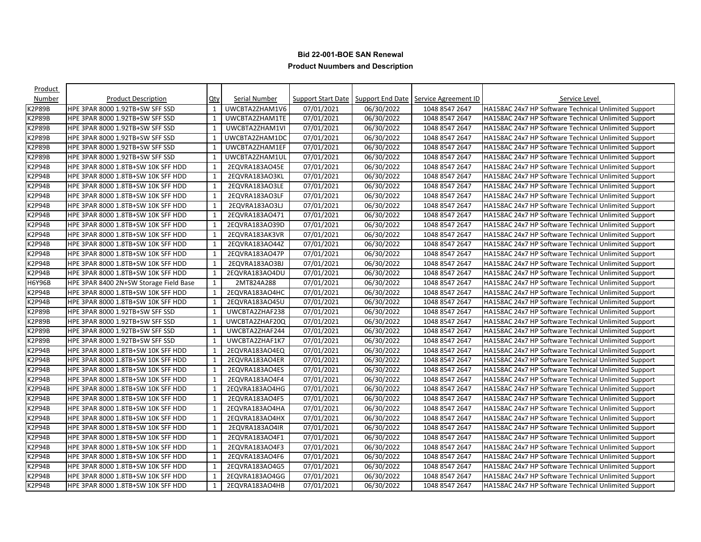| Product       |                                        |              |                      |            |            |                                                                     |                                                      |
|---------------|----------------------------------------|--------------|----------------------|------------|------------|---------------------------------------------------------------------|------------------------------------------------------|
| Number        | <b>Product Description</b>             | $Q$ ty       | <b>Serial Number</b> |            |            | <b>Support Start Date   Support End Date   Service Agreement ID</b> | Service Level                                        |
| K2P89B        | HPE 3PAR 8000 1.92TB+SW SFF SSD        | $\mathbf{1}$ | UWCBTA2ZHAM1V6       | 07/01/2021 | 06/30/2022 | 1048 8547 2647                                                      | HA158AC 24x7 HP Software Technical Unlimited Support |
| K2P89B        | HPE 3PAR 8000 1.92TB+SW SFF SSD        | 1            | UWCBTA2ZHAM1TE       | 07/01/2021 | 06/30/2022 | 1048 8547 2647                                                      | HA158AC 24x7 HP Software Technical Unlimited Support |
| K2P89B        | HPE 3PAR 8000 1.92TB+SW SFF SSD        | $\mathbf{1}$ | UWCBTA2ZHAM1VI       | 07/01/2021 | 06/30/2022 | 1048 8547 2647                                                      | HA158AC 24x7 HP Software Technical Unlimited Support |
| K2P89B        | HPE 3PAR 8000 1.92TB+SW SFF SSD        | 1            | UWCBTA2ZHAM1DC       | 07/01/2021 | 06/30/2022 | 1048 8547 2647                                                      | HA158AC 24x7 HP Software Technical Unlimited Support |
| <b>K2P89B</b> | HPE 3PAR 8000 1.92TB+SW SFF SSD        | 1            | UWCBTA2ZHAM1EF       | 07/01/2021 | 06/30/2022 | 1048 8547 2647                                                      | HA158AC 24x7 HP Software Technical Unlimited Support |
| K2P89B        | HPE 3PAR 8000 1.92TB+SW SFF SSD        | $\mathbf{1}$ | UWCBTA2ZHAM1UL       | 07/01/2021 | 06/30/2022 | 1048 8547 2647                                                      | HA158AC 24x7 HP Software Technical Unlimited Support |
| K2P94B        | HPE 3PAR 8000 1.8TB+SW 10K SFF HDD     | 1            | 2EQVRA183AO45E       | 07/01/2021 | 06/30/2022 | 1048 8547 2647                                                      | HA158AC 24x7 HP Software Technical Unlimited Support |
| K2P94B        | HPE 3PAR 8000 1.8TB+SW 10K SFF HDD     | 1            | 2EQVRA183AO3KL       | 07/01/2021 | 06/30/2022 | 1048 8547 2647                                                      | HA158AC 24x7 HP Software Technical Unlimited Support |
| K2P94B        | HPE 3PAR 8000 1.8TB+SW 10K SFF HDD     | 1            | 2EQVRA183AO3LE       | 07/01/2021 | 06/30/2022 | 1048 8547 2647                                                      | HA158AC 24x7 HP Software Technical Unlimited Support |
| K2P94B        | HPE 3PAR 8000 1.8TB+SW 10K SFF HDD     | $\mathbf{1}$ | 2EQVRA183AO3LF       | 07/01/2021 | 06/30/2022 | 1048 8547 2647                                                      | HA158AC 24x7 HP Software Technical Unlimited Support |
| K2P94B        | HPE 3PAR 8000 1.8TB+SW 10K SFF HDD     | $\mathbf{1}$ | 2EQVRA183AO3LJ       | 07/01/2021 | 06/30/2022 | 1048 8547 2647                                                      | HA158AC 24x7 HP Software Technical Unlimited Support |
| K2P94B        | HPE 3PAR 8000 1.8TB+SW 10K SFF HDD     | 1            | 2EQVRA183AO471       | 07/01/2021 | 06/30/2022 | 1048 8547 2647                                                      | HA158AC 24x7 HP Software Technical Unlimited Support |
| K2P94B        | HPE 3PAR 8000 1.8TB+SW 10K SFF HDD     | 1            | 2EQVRA183AO39D       | 07/01/2021 | 06/30/2022 | 1048 8547 2647                                                      | HA158AC 24x7 HP Software Technical Unlimited Support |
| K2P94B        | HPE 3PAR 8000 1.8TB+SW 10K SFF HDD     | 1            | 2EQVRA183AK3VR       | 07/01/2021 | 06/30/2022 | 1048 8547 2647                                                      | HA158AC 24x7 HP Software Technical Unlimited Support |
| K2P94B        | HPE 3PAR 8000 1.8TB+SW 10K SFF HDD     | $\mathbf{1}$ | 2EQVRA183AO44Z       | 07/01/2021 | 06/30/2022 | 1048 8547 2647                                                      | HA158AC 24x7 HP Software Technical Unlimited Support |
| K2P94B        | HPE 3PAR 8000 1.8TB+SW 10K SFF HDD     | 1            | 2EQVRA183AO47P       | 07/01/2021 | 06/30/2022 | 1048 8547 2647                                                      | HA158AC 24x7 HP Software Technical Unlimited Support |
| K2P94B        | HPE 3PAR 8000 1.8TB+SW 10K SFF HDD     | 1            | 2EQVRA183AO3BJ       | 07/01/2021 | 06/30/2022 | 1048 8547 2647                                                      | HA158AC 24x7 HP Software Technical Unlimited Support |
| K2P94B        | HPE 3PAR 8000 1.8TB+SW 10K SFF HDD     | 1            | 2EQVRA183AO4DU       | 07/01/2021 | 06/30/2022 | 1048 8547 2647                                                      | HA158AC 24x7 HP Software Technical Unlimited Support |
| <b>H6Y96B</b> | HPE 3PAR 8400 2N+SW Storage Field Base | $\mathbf{1}$ | 2MT824A288           | 07/01/2021 | 06/30/2022 | 1048 8547 2647                                                      | HA158AC 24x7 HP Software Technical Unlimited Support |
| K2P94B        | HPE 3PAR 8000 1.8TB+SW 10K SFF HDD     | 1            | 2EQVRA183AO4HC       | 07/01/2021 | 06/30/2022 | 1048 8547 2647                                                      | HA158AC 24x7 HP Software Technical Unlimited Support |
| K2P94B        | HPE 3PAR 8000 1.8TB+SW 10K SFF HDD     | 1            | 2EQVRA183AO45U       | 07/01/2021 | 06/30/2022 | 1048 8547 2647                                                      | HA158AC 24x7 HP Software Technical Unlimited Support |
| K2P89B        | HPE 3PAR 8000 1.92TB+SW SFF SSD        | 1            | UWCBTA2ZHAF238       | 07/01/2021 | 06/30/2022 | 1048 8547 2647                                                      | HA158AC 24x7 HP Software Technical Unlimited Support |
| K2P89B        | HPE 3PAR 8000 1.92TB+SW SFF SSD        | 1            | UWCBTA2ZHAF20Q       | 07/01/2021 | 06/30/2022 | 1048 8547 2647                                                      | HA158AC 24x7 HP Software Technical Unlimited Support |
| K2P89B        | HPE 3PAR 8000 1.92TB+SW SFF SSD        | $\mathbf{1}$ | UWCBTA2ZHAF244       | 07/01/2021 | 06/30/2022 | 1048 8547 2647                                                      | HA158AC 24x7 HP Software Technical Unlimited Support |
| K2P89B        | HPE 3PAR 8000 1.92TB+SW SFF SSD        | 1            | UWCBTA2ZHAF1K7       | 07/01/2021 | 06/30/2022 | 1048 8547 2647                                                      | HA158AC 24x7 HP Software Technical Unlimited Support |
| K2P94B        | HPE 3PAR 8000 1.8TB+SW 10K SFF HDD     | 1            | 2EQVRA183AO4EQ       | 07/01/2021 | 06/30/2022 | 1048 8547 2647                                                      | HA158AC 24x7 HP Software Technical Unlimited Support |
| K2P94B        | HPE 3PAR 8000 1.8TB+SW 10K SFF HDD     | 1            | 2EQVRA183AO4ER       | 07/01/2021 | 06/30/2022 | 1048 8547 2647                                                      | HA158AC 24x7 HP Software Technical Unlimited Support |
| <b>K2P94B</b> | HPE 3PAR 8000 1.8TB+SW 10K SFF HDD     | 1            | 2EQVRA183AO4ES       | 07/01/2021 | 06/30/2022 | 1048 8547 2647                                                      | HA158AC 24x7 HP Software Technical Unlimited Support |
| K2P94B        | HPE 3PAR 8000 1.8TB+SW 10K SFF HDD     | $\mathbf{1}$ | 2EQVRA183AO4F4       | 07/01/2021 | 06/30/2022 | 1048 8547 2647                                                      | HA158AC 24x7 HP Software Technical Unlimited Support |
| K2P94B        | HPE 3PAR 8000 1.8TB+SW 10K SFF HDD     | 1            | 2EQVRA183AO4HG       | 07/01/2021 | 06/30/2022 | 1048 8547 2647                                                      | HA158AC 24x7 HP Software Technical Unlimited Support |
| K2P94B        | HPE 3PAR 8000 1.8TB+SW 10K SFF HDD     | 1            | 2EQVRA183AO4F5       | 07/01/2021 | 06/30/2022 | 1048 8547 2647                                                      | HA158AC 24x7 HP Software Technical Unlimited Support |
| K2P94B        | HPE 3PAR 8000 1.8TB+SW 10K SFF HDD     | 1            | 2EQVRA183AO4HA       | 07/01/2021 | 06/30/2022 | 1048 8547 2647                                                      | HA158AC 24x7 HP Software Technical Unlimited Support |
| K2P94B        | HPE 3PAR 8000 1.8TB+SW 10K SFF HDD     | $\mathbf{1}$ | 2EQVRA183AO4HX       | 07/01/2021 | 06/30/2022 | 1048 8547 2647                                                      | HA158AC 24x7 HP Software Technical Unlimited Support |
| K2P94B        | HPE 3PAR 8000 1.8TB+SW 10K SFF HDD     | 1            | 2EQVRA183AO4IR       | 07/01/2021 | 06/30/2022 | 1048 8547 2647                                                      | HA158AC 24x7 HP Software Technical Unlimited Support |
| K2P94B        | HPE 3PAR 8000 1.8TB+SW 10K SFF HDD     | 1            | 2EQVRA183AO4F1       | 07/01/2021 | 06/30/2022 | 1048 8547 2647                                                      | HA158AC 24x7 HP Software Technical Unlimited Support |
| K2P94B        | HPE 3PAR 8000 1.8TB+SW 10K SFF HDD     | 1            | 2EQVRA183AO4F3       | 07/01/2021 | 06/30/2022 | 1048 8547 2647                                                      | HA158AC 24x7 HP Software Technical Unlimited Support |
| K2P94B        | HPE 3PAR 8000 1.8TB+SW 10K SFF HDD     | 1            | 2EQVRA183AO4F6       | 07/01/2021 | 06/30/2022 | 1048 8547 2647                                                      | HA158AC 24x7 HP Software Technical Unlimited Support |
| K2P94B        | HPE 3PAR 8000 1.8TB+SW 10K SFF HDD     | $\mathbf{1}$ | 2EQVRA183AO4G5       | 07/01/2021 | 06/30/2022 | 1048 8547 2647                                                      | HA158AC 24x7 HP Software Technical Unlimited Support |
| K2P94B        | HPE 3PAR 8000 1.8TB+SW 10K SFF HDD     | 1            | 2EQVRA183AO4GG       | 07/01/2021 | 06/30/2022 | 1048 8547 2647                                                      | HA158AC 24x7 HP Software Technical Unlimited Support |
| K2P94B        | HPE 3PAR 8000 1.8TB+SW 10K SFF HDD     | 1            | 2EQVRA183AO4HB       | 07/01/2021 | 06/30/2022 | 1048 8547 2647                                                      | HA158AC 24x7 HP Software Technical Unlimited Support |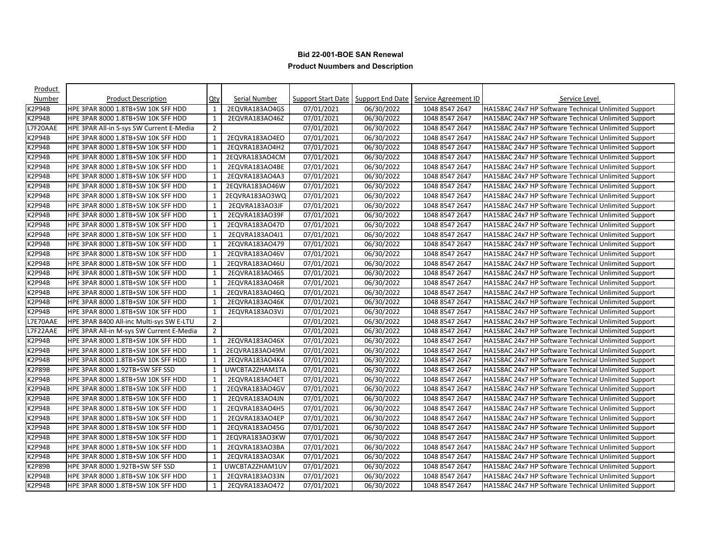| Product          |                                          |                |                |            |            |                                                                     |                                                      |
|------------------|------------------------------------------|----------------|----------------|------------|------------|---------------------------------------------------------------------|------------------------------------------------------|
| Number           | <b>Product Description</b>               | $Q$ ty         | Serial Number  |            |            | <b>Support Start Date   Support End Date   Service Agreement ID</b> | Service Level                                        |
| K2P94B           | HPE 3PAR 8000 1.8TB+SW 10K SFF HDD       | $\mathbf{1}$   | 2EQVRA183AO4GS | 07/01/2021 | 06/30/2022 | 1048 8547 2647                                                      | HA158AC 24x7 HP Software Technical Unlimited Support |
| K2P94B           | HPE 3PAR 8000 1.8TB+SW 10K SFF HDD       | 1              | 2EQVRA183AO46Z | 07/01/2021 | 06/30/2022 | 1048 8547 2647                                                      | HA158AC 24x7 HP Software Technical Unlimited Support |
| L7F20AAE         | HPE 3PAR All-in S-sys SW Current E-Media | $\overline{2}$ |                | 07/01/2021 | 06/30/2022 | 1048 8547 2647                                                      | HA158AC 24x7 HP Software Technical Unlimited Support |
| K2P94B           | HPE 3PAR 8000 1.8TB+SW 10K SFF HDD       | 1              | 2EQVRA183AO4EO | 07/01/2021 | 06/30/2022 | 1048 8547 2647                                                      | HA158AC 24x7 HP Software Technical Unlimited Support |
| K2P94B           | HPE 3PAR 8000 1.8TB+SW 10K SFF HDD       | 1              | 2EQVRA183AO4H2 | 07/01/2021 | 06/30/2022 | 1048 8547 2647                                                      | HA158AC 24x7 HP Software Technical Unlimited Support |
| K2P94B           | HPE 3PAR 8000 1.8TB+SW 10K SFF HDD       | $\mathbf{1}$   | 2EQVRA183AO4CM | 07/01/2021 | 06/30/2022 | 1048 8547 2647                                                      | HA158AC 24x7 HP Software Technical Unlimited Support |
| K2P94B           | HPE 3PAR 8000 1.8TB+SW 10K SFF HDD       | 1              | 2EQVRA183AO4BE | 07/01/2021 | 06/30/2022 | 1048 8547 2647                                                      | HA158AC 24x7 HP Software Technical Unlimited Support |
| <b>&lt;2P94B</b> | HPE 3PAR 8000 1.8TB+SW 10K SFF HDD       | 1              | 2EQVRA183AO4A3 | 07/01/2021 | 06/30/2022 | 1048 8547 2647                                                      | HA158AC 24x7 HP Software Technical Unlimited Support |
| K2P94B           | HPE 3PAR 8000 1.8TB+SW 10K SFF HDD       | 1              | 2EQVRA183AO46W | 07/01/2021 | 06/30/2022 | 1048 8547 2647                                                      | HA158AC 24x7 HP Software Technical Unlimited Support |
| K2P94B           | HPE 3PAR 8000 1.8TB+SW 10K SFF HDD       | $\mathbf{1}$   | 2EQVRA183AO3WQ | 07/01/2021 | 06/30/2022 | 1048 8547 2647                                                      | HA158AC 24x7 HP Software Technical Unlimited Support |
| K2P94B           | HPE 3PAR 8000 1.8TB+SW 10K SFF HDD       | $\mathbf{1}$   | 2EQVRA183AO3JF | 07/01/2021 | 06/30/2022 | 1048 8547 2647                                                      | HA158AC 24x7 HP Software Technical Unlimited Support |
| K2P94B           | HPE 3PAR 8000 1.8TB+SW 10K SFF HDD       | 1              | 2EQVRA183AO39F | 07/01/2021 | 06/30/2022 | 1048 8547 2647                                                      | HA158AC 24x7 HP Software Technical Unlimited Support |
| K2P94B           | HPE 3PAR 8000 1.8TB+SW 10K SFF HDD       | 1              | 2EQVRA183AO47D | 07/01/2021 | 06/30/2022 | 1048 8547 2647                                                      | HA158AC 24x7 HP Software Technical Unlimited Support |
| K2P94B           | HPE 3PAR 8000 1.8TB+SW 10K SFF HDD       | 1              | 2EQVRA183AO4J1 | 07/01/2021 | 06/30/2022 | 1048 8547 2647                                                      | HA158AC 24x7 HP Software Technical Unlimited Support |
| K2P94B           | HPE 3PAR 8000 1.8TB+SW 10K SFF HDD       | $\mathbf{1}$   | 2EQVRA183AO479 | 07/01/2021 | 06/30/2022 | 1048 8547 2647                                                      | HA158AC 24x7 HP Software Technical Unlimited Support |
| K2P94B           | HPE 3PAR 8000 1.8TB+SW 10K SFF HDD       | 1              | 2EQVRA183AO46V | 07/01/2021 | 06/30/2022 | 1048 8547 2647                                                      | HA158AC 24x7 HP Software Technical Unlimited Support |
| K2P94B           | HPE 3PAR 8000 1.8TB+SW 10K SFF HDD       | 1              | 2EQVRA183AO46U | 07/01/2021 | 06/30/2022 | 1048 8547 2647                                                      | HA158AC 24x7 HP Software Technical Unlimited Support |
| K2P94B           | HPE 3PAR 8000 1.8TB+SW 10K SFF HDD       | $\mathbf{1}$   | 2EQVRA183AO46S | 07/01/2021 | 06/30/2022 | 1048 8547 2647                                                      | HA158AC 24x7 HP Software Technical Unlimited Support |
| K2P94B           | HPE 3PAR 8000 1.8TB+SW 10K SFF HDD       | $\mathbf{1}$   | 2EQVRA183AO46R | 07/01/2021 | 06/30/2022 | 1048 8547 2647                                                      | HA158AC 24x7 HP Software Technical Unlimited Support |
| K2P94B           | HPE 3PAR 8000 1.8TB+SW 10K SFF HDD       | $\mathbf{1}$   | 2EQVRA183AO46Q | 07/01/2021 | 06/30/2022 | 1048 8547 2647                                                      | HA158AC 24x7 HP Software Technical Unlimited Support |
| K2P94B           | HPE 3PAR 8000 1.8TB+SW 10K SFF HDD       | 1              | 2EQVRA183AO46K | 07/01/2021 | 06/30/2022 | 1048 8547 2647                                                      | HA158AC 24x7 HP Software Technical Unlimited Support |
| K2P94B           | HPE 3PAR 8000 1.8TB+SW 10K SFF HDD       | 1              | 2EQVRA183AO3VJ | 07/01/2021 | 06/30/2022 | 1048 8547 2647                                                      | HA158AC 24x7 HP Software Technical Unlimited Support |
| L7E70AAE         | HPE 3PAR 8400 All-inc Multi-sys SW E-LTU | $\overline{2}$ |                | 07/01/2021 | 06/30/2022 | 1048 8547 2647                                                      | HA158AC 24x7 HP Software Technical Unlimited Support |
| L7F22AAE         | HPE 3PAR All-in M-sys SW Current E-Media | $\overline{2}$ |                | 07/01/2021 | 06/30/2022 | 1048 8547 2647                                                      | HA158AC 24x7 HP Software Technical Unlimited Support |
| K2P94B           | HPE 3PAR 8000 1.8TB+SW 10K SFF HDD       | 1              | 2EQVRA183AO46X | 07/01/2021 | 06/30/2022 | 1048 8547 2647                                                      | HA158AC 24x7 HP Software Technical Unlimited Support |
| K2P94B           | HPE 3PAR 8000 1.8TB+SW 10K SFF HDD       | 1              | 2EQVRA183AO49M | 07/01/2021 | 06/30/2022 | 1048 8547 2647                                                      | HA158AC 24x7 HP Software Technical Unlimited Support |
| K2P94B           | HPE 3PAR 8000 1.8TB+SW 10K SFF HDD       | 1              | 2EQVRA183AO4K4 | 07/01/2021 | 06/30/2022 | 1048 8547 2647                                                      | HA158AC 24x7 HP Software Technical Unlimited Support |
| K2P89B           | HPE 3PAR 8000 1.92TB+SW SFF SSD          | $\mathbf{1}$   | UWCBTA2ZHAM1TA | 07/01/2021 | 06/30/2022 | 1048 8547 2647                                                      | HA158AC 24x7 HP Software Technical Unlimited Support |
| K2P94B           | HPE 3PAR 8000 1.8TB+SW 10K SFF HDD       | $\mathbf{1}$   | 2EQVRA183AO4ET | 07/01/2021 | 06/30/2022 | 1048 8547 2647                                                      | HA158AC 24x7 HP Software Technical Unlimited Support |
| K2P94B           | HPE 3PAR 8000 1.8TB+SW 10K SFF HDD       | 1              | 2EQVRA183AO4GV | 07/01/2021 | 06/30/2022 | 1048 8547 2647                                                      | HA158AC 24x7 HP Software Technical Unlimited Support |
| K2P94B           | HPE 3PAR 8000 1.8TB+SW 10K SFF HDD       | 1              | 2EQVRA183AO4JN | 07/01/2021 | 06/30/2022 | 1048 8547 2647                                                      | HA158AC 24x7 HP Software Technical Unlimited Support |
| K2P94B           | HPE 3PAR 8000 1.8TB+SW 10K SFF HDD       | 1              | 2EQVRA183AO4H5 | 07/01/2021 | 06/30/2022 | 1048 8547 2647                                                      | HA158AC 24x7 HP Software Technical Unlimited Support |
| K2P94B           | HPE 3PAR 8000 1.8TB+SW 10K SFF HDD       | $\mathbf{1}$   | 2EQVRA183AO4EP | 07/01/2021 | 06/30/2022 | 1048 8547 2647                                                      | HA158AC 24x7 HP Software Technical Unlimited Support |
| K2P94B           | HPE 3PAR 8000 1.8TB+SW 10K SFF HDD       | 1              | 2EQVRA183AO45G | 07/01/2021 | 06/30/2022 | 1048 8547 2647                                                      | HA158AC 24x7 HP Software Technical Unlimited Support |
| K2P94B           | HPE 3PAR 8000 1.8TB+SW 10K SFF HDD       | 1              | 2EQVRA183AO3KW | 07/01/2021 | 06/30/2022 | 1048 8547 2647                                                      | HA158AC 24x7 HP Software Technical Unlimited Support |
| K2P94B           | HPE 3PAR 8000 1.8TB+SW 10K SFF HDD       | 1              | 2EQVRA183AO3BA | 07/01/2021 | 06/30/2022 | 1048 8547 2647                                                      | HA158AC 24x7 HP Software Technical Unlimited Support |
| K2P94B           | HPE 3PAR 8000 1.8TB+SW 10K SFF HDD       | $\mathbf{1}$   | 2EQVRA183AO3AK | 07/01/2021 | 06/30/2022 | 1048 8547 2647                                                      | HA158AC 24x7 HP Software Technical Unlimited Support |
| K2P89B           | HPE 3PAR 8000 1.92TB+SW SFF SSD          | $\mathbf{1}$   | UWCBTA2ZHAM1UV | 07/01/2021 | 06/30/2022 | 1048 8547 2647                                                      | HA158AC 24x7 HP Software Technical Unlimited Support |
| K2P94B           | HPE 3PAR 8000 1.8TB+SW 10K SFF HDD       | 1              | 2EQVRA183AO33N | 07/01/2021 | 06/30/2022 | 1048 8547 2647                                                      | HA158AC 24x7 HP Software Technical Unlimited Support |
| K2P94B           | HPE 3PAR 8000 1.8TB+SW 10K SFF HDD       | 1              | 2EQVRA183AO472 | 07/01/2021 | 06/30/2022 | 1048 8547 2647                                                      | HA158AC 24x7 HP Software Technical Unlimited Support |